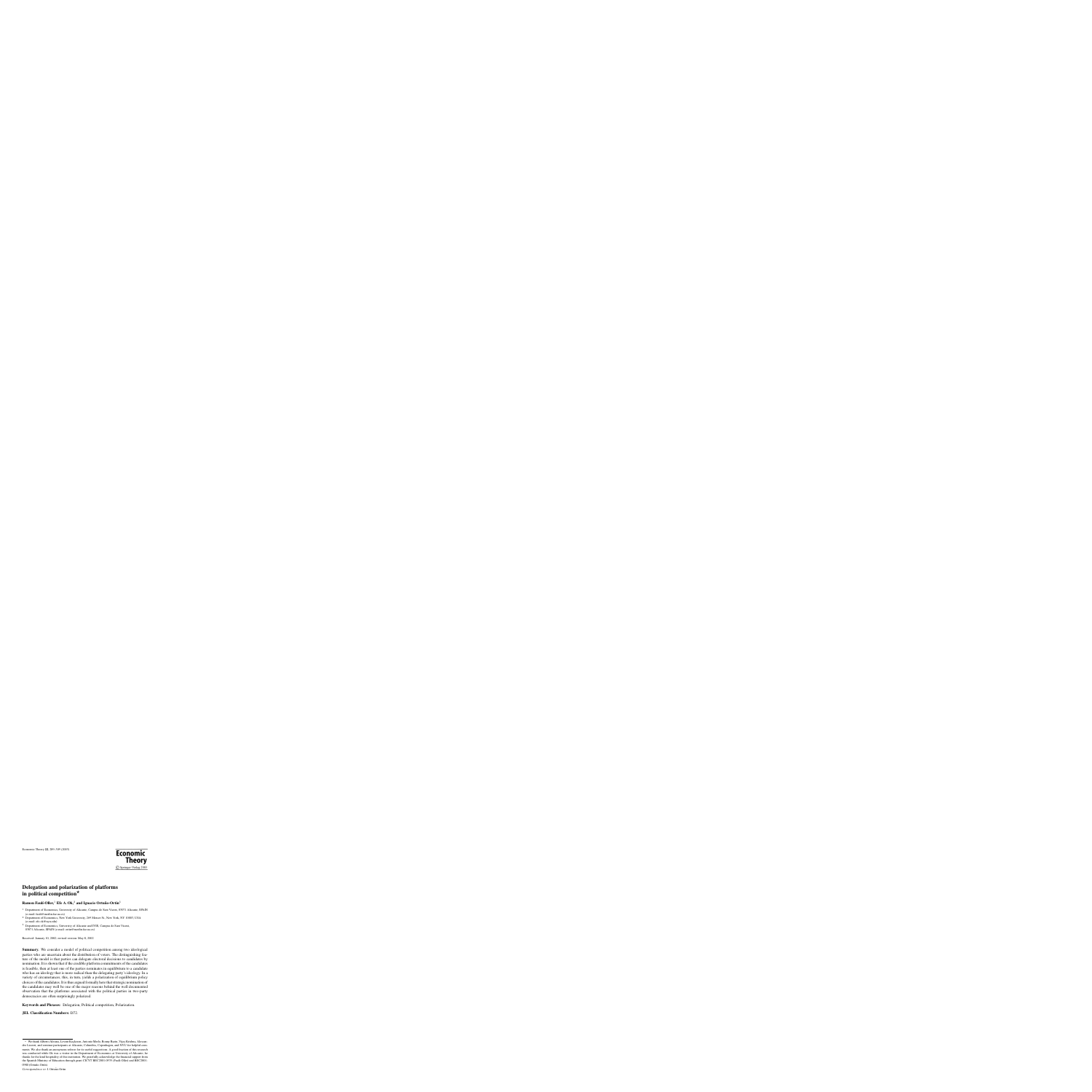

# **Delegation and polarization of platforms in political competition**

**Ramon Faulí-Oller,<sup>1</sup> Efe A. Ok,<sup>2</sup> and Ignacio Ortuño-Ortín<sup>3</sup>** 

- $<sup>1</sup>$  Department of Economics, University of Alicante, Campus de Sant Vicent, 03071 Alicante, SPAIN</sup> (e-mail: fauli@merlin.fae.ua.es)
- <sup>2</sup> Department of Economics, New York University, 269 Mercer St., New York, NY 10003, USA (e-mail: efe.ok@nyu.edu)
- <sup>3</sup> Department of Economics, University of Alicante and IVIE, Campus de Sant Vicent, 03071 Alicante, SPAIN (e-mail: ortin@merlin.fae.ua.es)

Received: January 10, 2002; revised version: May 8, 2002

**Summary.** We consider a model of political competition among two ideological parties who are uncertain about the distribution of voters. The distinguishing feature of the model is that parties can delegate electoral decisions to candidates by nomination. It is shown that if the credible platform commitments of the candidates is feasible, then at least one of the parties nominates in equilibrium to a candidate who has an ideology that is more radical than the delegating party's ideology. In a variety of circumstances, this, in turn, yields a polarization of equilibrium policy choices of the candidates. It is thus argued formally here that strategic nomination of the candidates may well be one of the major reasons behind the well documented observation that the platforms associated with the political parties in two-party democracies are often surprisingly polarized.

**Keywords and Phrases:** Delegation, Political competition, Polarization.

**JEL Classification Numbers:** D72.

<sup>\*</sup> We thank Alberto Alesina, Levent Koçkesen, Antonio Merlo, Ronny Razin, Vijay Krishna, Alessandro Lizzeri, and seminar participants at Alicante, Columbia, Copenhagen, and NYU for helpful comments. We also thank an anonymous referee for its useful suggestions. A good fraction of this research was conducted while Ok was a visitor in the Department of Economics at University of Alicante; he thanks for the kind hospitality of this institution. We gratefully acknowledge the financial support from the Spanish Ministry of Education through grant CICYT BEC2001-0535 (Fault-Oller) and BEC2001-0980 (Ortuño-Ortín).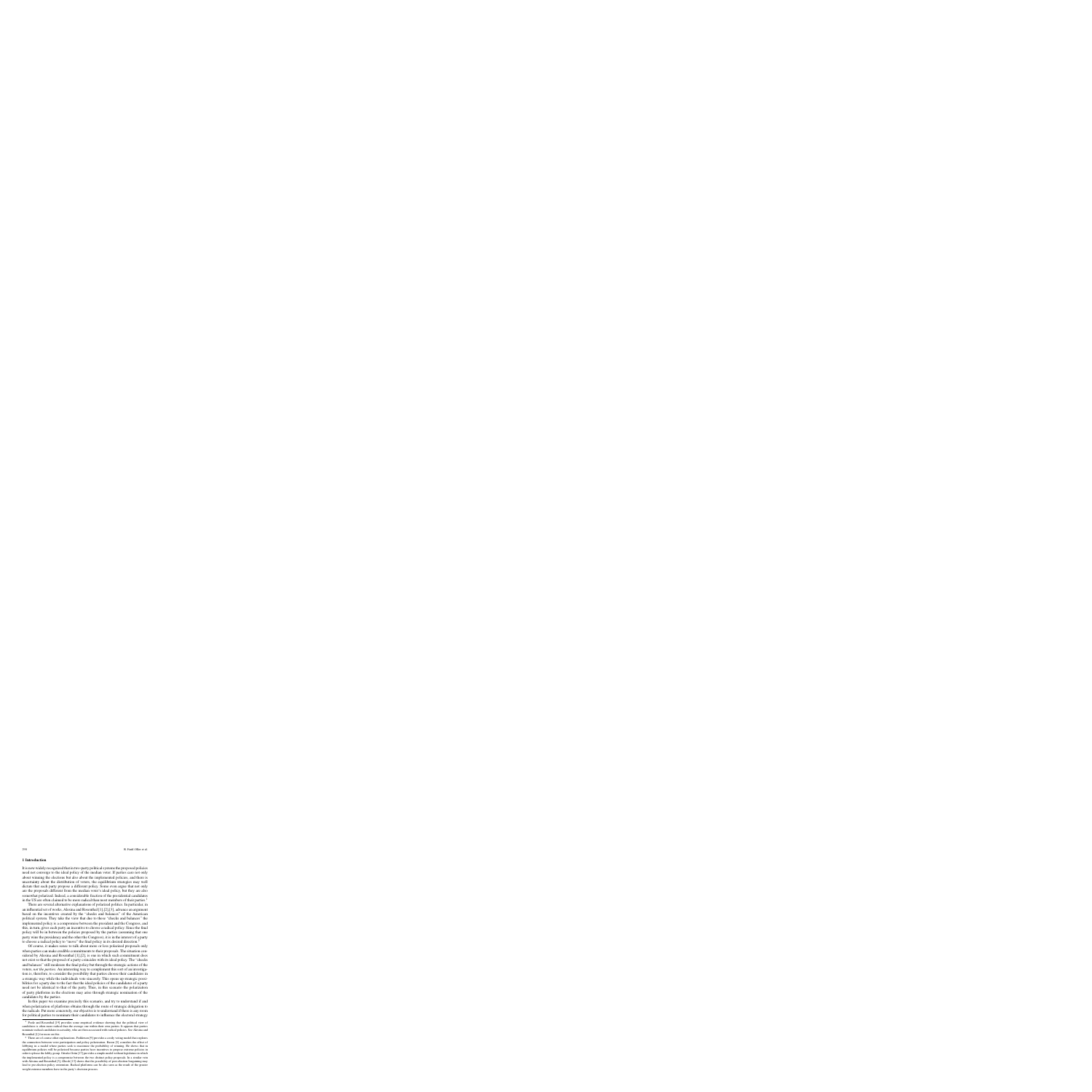# **1 Introduction**

It is now widely recognized that in two-party political systems the proposed policies need not converge to the ideal policy of the median voter. If parties care not only about winning the elections but also about the implemented policies, and there is uncertainty about the distribution of voters, the equilibrium strategies may well dictate that each party propose a different policy. Some even argue that not only are the proposals different from the median voter's ideal policy, but they are also somewhat polarized. Indeed, a considerable fraction of the presidential candidates in the US are often claimed to be more radical than most members of their parties.<sup>1</sup>

There are several alternative explanations of polarized politics. In particular, in an influential set of works, Alesina and Rosenthal [1],[2],[3], advance an argument based on the incentives created by the "checks and balances" of the American political system. They take the view that due to these "checks and balances" the implemented policy is a compromise between the president and the Congress, and this, in turn, gives each party an incentive to choose a radical policy. Since the final policy will be in between the policies proposed by the parties (assuming that one party wins the presidency and the other the Congress), it is in the interest of a party to choose a radical policy to "move" the final policy in its desired direction.<sup>2</sup>

Of course, it makes sense to talk about more or less polarized proposals only when parties can make credible commitments to their proposals. The situation considered by Alesina and Rosenthal [1],[2], is one in which such commitment does not exist so that the proposal of a party coincides with its ideal policy. The "checks and balances" still moderate the final policy but through the strategic actions of the voters, *not the parties*. An interesting way to complement this sort of an investigation is, therefore, to consider the possibility that parties choose their candidates in a strategic way while the individuals vote sincerely. This opens up strategic possibilities for a party due to the fact that the ideal policies of the candidates of a party need not be identical to that of the party. Thus, in this scenario the polarization of party platforms in the elections may arise through strategic nomination of the candidates by the parties.

In this paper we examine precisely this scenario, and try to understand if and when polarization of platforms obtains through the route of strategic delegation to the radicals. Put more concretely, our objective is to understand if there is any room for political parties to nominate their candidates to influence the electoral strategy

<sup>1</sup> Poole and Rosenthal [19] provides some empirical evidence showing that the political view of candidates is often more radical than the average one within their own parties. It appears that parties nominate radical candidates in actuality, who are then associated with radical policies. See Alesina and Rosenthal [1] for more on this.

<sup>&</sup>lt;sup>2</sup> There are of course other explanations. Feddersen [9] provides a costly voting model that explores the connection between voter participation and policy polarization. Baron [5] considers the effect of lobbying in a model where parties seek to maximize the probability of winning. He shows that in equilibrium policies will be polarized because parties have incentives to propose extreme policies in order to please the lobby group. Ortuño-Ortin [17] provides a simple model without legislature in which the implemented policy is a compromise between the two distinct policy proposals. In a similar vein with Alesina and Rosenthal [3], Ghosh [13] shows that the possibility of post-election bargaining may lead to pre-election policy extremism. Radical platforms can be also seen as the result of the greater weight extreme members have in the party's decision process.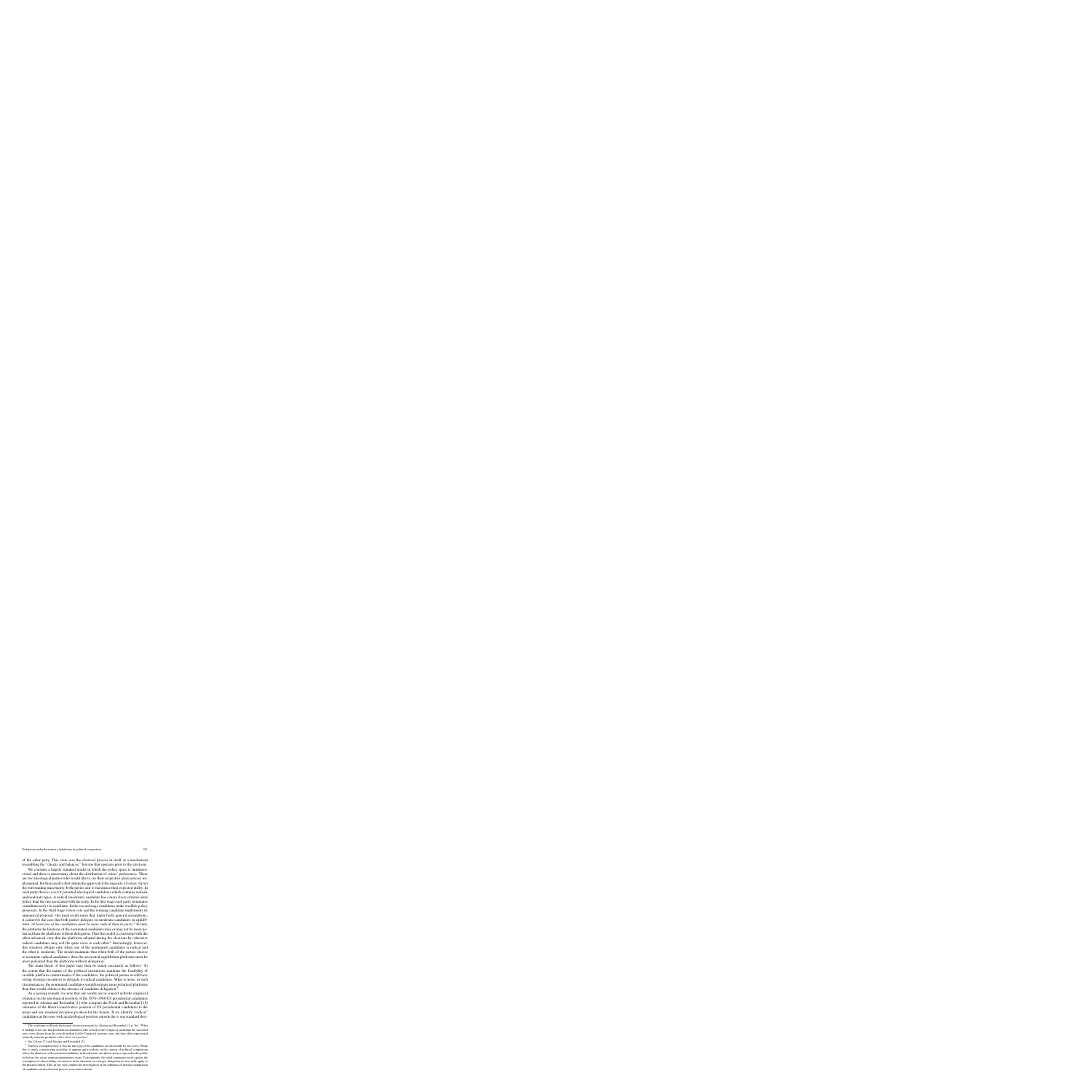of the other party. This view sees the electoral process in itself as a mechanism resembling the "checks and balances," but one that operates prior to the elections.

We consider a largely standard model in which the policy space is unidimensional and there is uncertainty about the distribution of voters' preferences. There are two ideological parties who would like to see their respective ideal policies implemented, but they need to first obtain the approval of the majority of voters. Given the surrounding uncertainty, both parties aim to maximize their expected utility. In each party there is a set of potential ideological candidates which contains radicals and moderate types. A radical (moderate) candidate has a more (less) extreme ideal policy than the one associated with the party. In the first stage each party nominates (simultaneously) its candidate. In the second stage candidates make credible policy proposals. In the third stage voters vote and the winning candidate implements its announced proposal. Our main result states that, under fairly general assumptions, it cannot be the case that both parties delegate on moderate candidates in equilibrium: *At least one of the candidates must be more radical than its party*. <sup>3</sup> In turn, the platform declarations of the nominated candidates may or may not be more polarized than the platforms without delegation. Thus the model is consistent with the often advanced view that the platforms adopted during the elections by otherwise radical candidates may well be quite close to each other.4 Interestingly, however, this situation obtains only when one of the nominated candidates is radical and the other is moderate. The model maintains that when both of the parties choose to nominate radical candidates, then the associated equilibrium platforms must be more polarized than the platforms without delegation.

The main thesis of this paper may then be stated succinctly as follows: To the extent that the nature of the political institutions maintain the feasibility of credible platform commitments of the candidates, the political parties would have strong strategic incentives to delegate to radical candidates. What is more, in such circumstances, the nominated candidates would instigate more polarized platforms than that would obtain in the absence of candidate delegation.<sup>5</sup>

As a passing remark, we note that our results are in concert with the empirical evidence on the ideological position of the 1876–1988 US presidential candidates reported in Alesina and Rosenthal [1] who compare the Poole and Rosenthal [18] estimates of the liberal-conservative position of US presidential candidates to the mean and one standard deviation position for the Senate. If we identify "radical" candidates as the ones with an ideological position outside the  $\pm$  one standard devi-

<sup>&</sup>lt;sup>3</sup> This conforms well with the factual observation made by Alesina and Rosenthal [1, p. 36]: "What is striking is not just that presidential candidates [who served in the Congress], including the succesful ones, were distant from the overall median [of the Congress] in many cases, but they often represented relatively extreme positions *within their own parties*."

<sup>4</sup> See Calvert [7] and Alesina and Rosenthal [3].

<sup>5</sup> One key assumption here is that the true type of the candidates are observable by the voters. While this is surely a penetrating postulate, it appears quite realistic in the context of political competition where the identities of the potential candidates in the elections are almost always exposed to the public far before the actual nomination/primaries stage. Consequently, the usual arguments made against the assumption of observability of contracts in the literature on strategic delegation do not really apply to the present context. This, in our view, renders the investigation of the influence of strategic nomination of candidates on the electoral process even more relevant.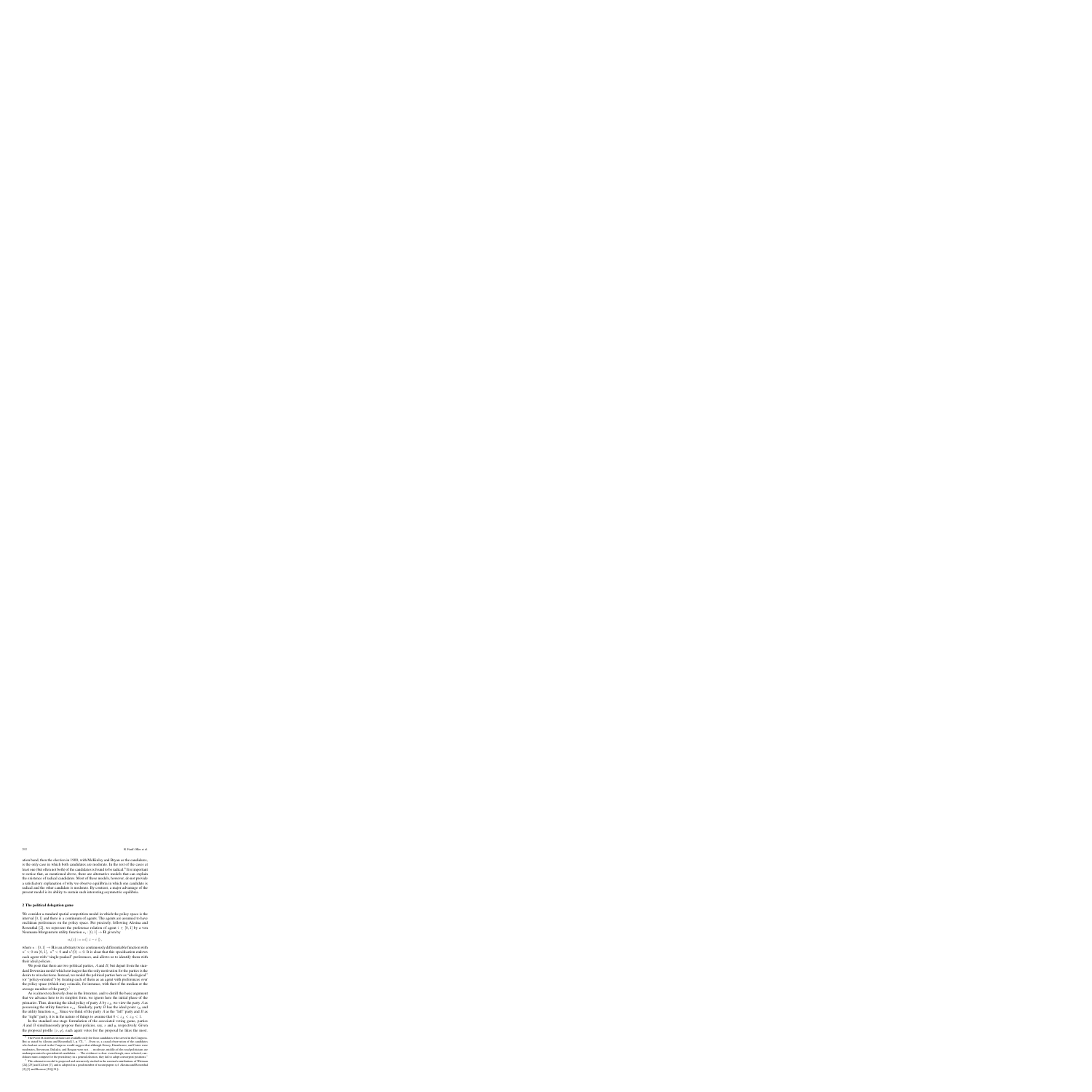ation band, then the election in 1900, with McKinley and Bryan as the candidates, is the only case in which both candidates are moderate. In the rest of the cases at least one (but often not both) of the candidates is found to be radical.<sup>6</sup> It is important to notice that, as mentioned above, there are alternative models that can explain the existence of radical candidates. Most of these models, however, do not provide a satisfactory explanation of why we observe equilibria in which one candidate is radical and the other candidate is moderate. By contrast, a major advantage of the present model is its ability to sustain such interesting asymmetric equilibria.

#### **2 The political delegation game**

We consider a standard spatial competition model in which the policy space is the interval [0, 1] and there is a continuum of agents. The agents are assumed to have euclidean preferences on the policy space. Put precisely, following Alesina and Rosenthal [2], we represent the preference relation of agent  $i \in [0,1]$  by a von Neumann-Morgenstern utility function  $u_i : [0, 1] \rightarrow \mathbf{R}$  given by

$$
u_i(z) := u(|z - i|),
$$

where  $u : [0, 1] \rightarrow \mathbf{R}$  is an arbitrary twice continuously differentiable function with  $u' < 0$  on  $(0, 1]$ ,  $u'' < 0$  and  $u'(0) = 0$ . It is clear that this specification endows each agent with "single-peaked" preferences, and allows us to identify them with their ideal policies.

We posit that there are two political parties,  $A$  and  $B$ , but depart from the standard Downsian model which envisages that the only motivation for the parties is the desire to win elections. Instead, we model the political parties here as "ideological" (or "policy-oriented") by treating each of them as an agent with preferences over the policy space (which may coincide, for instance, with that of the median or the average member of the party).<sup>7</sup>

As is almost exclusively done in the literature, and to distill the basic argument that we advance here to its simplest form, we ignore here the initial phase of the primaries. Thus, denoting the ideal policy of party  $A$  by  $z_A$ , we view the party  $A$  as possessing the utility function  $u_{z_A}$ . Similarly, party B has the ideal point  $z_B$  and the utility function  $u_{z_B}$ . Since we think of the party A as the "left" party and B as the "right" party, it is in the nature of things to assume that  $0 < z_A < z_B < 1$ .

In the standard one-stage formulation of the associated voting game, parties A and B simultaneously propose their policies, say,  $x$  and  $y$ , respectively. Given the proposal profile  $(x, y)$ , each agent votes for the proposal he likes the most.

<sup>6</sup> The Poole-Rosenthal estimates are available only for those candidates who served in the Congress. But as stated by Alesina and Rosenthal [1, p. 37], "... Even so, a casual observation of the candidates who had not served in the Congress would suggest that although Dewey, Eisenhower, and Carter were moderates, Stevenson, Dukakis, and Reagan were not. . . . moderate, middle-of-the-road politicians are underrepresented as presidential candidates. . . . The evidence is clear: even though, once selected, candidates must compete for the presidency in a general election, they fail to adopt convergent positions."

 $7$  This alternative model is proposed and extensively studied in the seminal contributions of Wittman [24],[25] and Calvert [7], and is adopted in a good number of recent papers (cf. Alesina and Rosenthal [2], [3] and Roemer [20], [21]).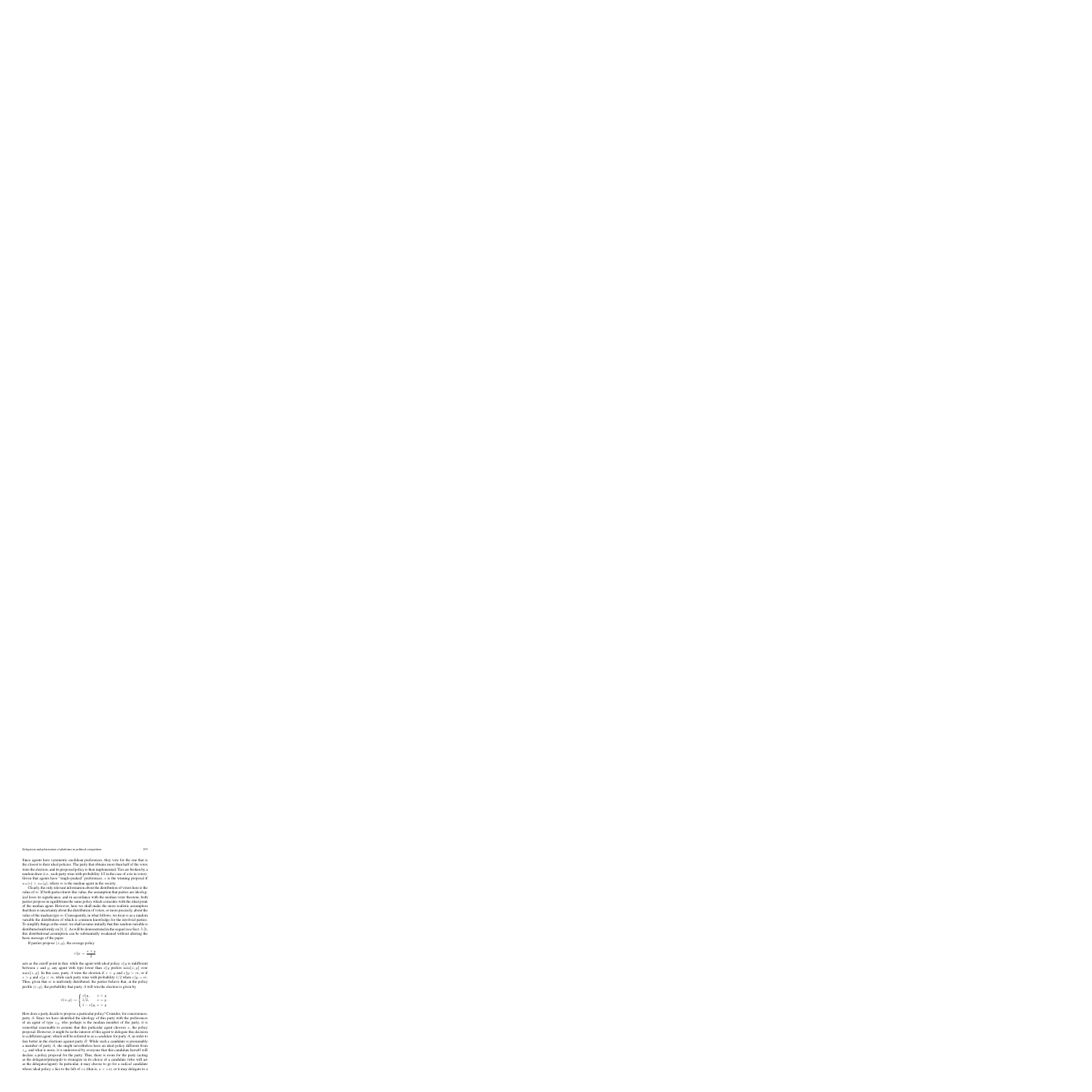Since agents have symmetric euclidean preferences, they vote for the one that is the closest to their ideal policies. The party that obtains more than half of the votes wins the election, and its proposed policy is then implemented. Ties are broken by a random draw (i.e., each party wins with probability 1/2 in the case of a tie in votes). Given that agents have "single-peaked" preferences,  $x$  is the winning proposal if  $u_m(x) > u_m(y)$ , where m is the median agent in the society.

Clearly, the only relevant information about the distribution of voters here is the value of m. If both parties know this value, the assumption that parties are ideological loses its significance, and in accordance with the median voter theorem, both parties propose in equilibrium the same policy which coincides with the ideal point of the median agent. However, here we shall make the more realistic assumption that there is uncertainty about the distribution of voters, or more precisely, about the value of the median type  $m$ . Consequently, in what follows, we treat  $m$  as a random variable the distribution of which is common knowledge for the involved parties. To simplify things at the onset, we shall assume initially that this random variable is distributed uniformly on  $[0, 1]$ . As will be demonstrated in the sequel (see Sect. 3.2), this distributional assumption can be substantially weakened without altering the basic message of the paper.

If parties propose  $(x, y)$ , the average policy

$$
x \| y := \frac{x+y}{2}
$$

acts as the cutoff point in that, while the agent with ideal policy  $x||y$  is indifferent between x and y, any agent with type lower than  $x||y$  prefers  $\min\{x, y\}$  over  $\max\{x, y\}$ . In this case, party A wins the election if  $x < y$  and  $x||y > m$ , or if  $x > y$  and  $x||y < m$ , while each party wins with probability  $1/2$  when  $x||y = m$ . Thus, given that  $m$  is uniformly distributed, the parties believe that, at the policy profile  $(x, y)$ , the probability that party A will win the election is given by

$$
\pi(x,y) := \begin{cases} x||y, & x < y \\ 1/2, & x = y \\ 1-x||y, & x > y \end{cases}.
$$

How does a party decide to propose a particular policy? Consider, for concreteness, party A. Since we have identified the ideology of this party with the preferences of an agent of type  $z_A$ , who perhaps is the median member of the party, it is somewhat reasonable to assume that this particular agent chooses  $x$ , the policy proposal. However, it might be in the interest of this agent to delegate this decision to a different agent, which will be referred to as a *candidate* for party A, in order to fare better in the elections against party  $B$ . While such a candidate is presumably a member of party A, she might nevertheless have an ideal policy different from  $z_A$ , and what is more, it is understood by everyone that this candidate herself will declare a policy proposal for the party. Thus, there is room for the party (acting as the delegator/principal) to strategize in its choice of a candidate (who will act as the delegatee/agent). In particular, it may choose to go for a *radical* candidate whose ideal policy a lies to the left of  $z_A$  (that is,  $a < z_A$ ), or it may delegate to a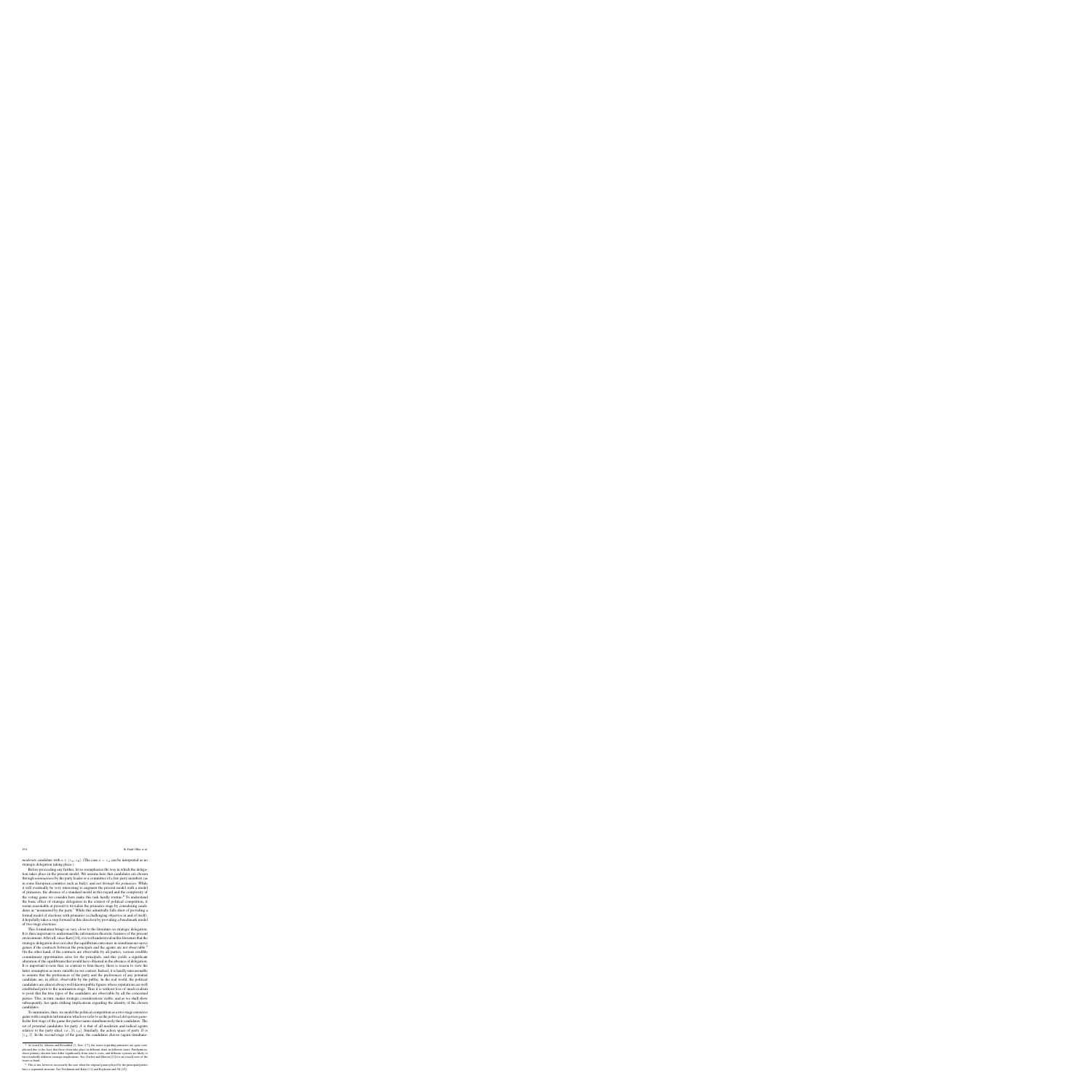*moderate* candidate with  $a \in (z_A, z_B]$ . (The case  $a = z_A$  can be interpreted as no strategic delegation taking place.)

Before proceeding any further, let us reemphasize the way in which the delegation takes place in the present model. We assume here that candidates are chosen through *nominations* by the party leader or a committee of a few party members (as in some European countries such as Italy), and *not through the primaries*. While it will eventually be very interesting to augment the present model with a model of primaries, the absence of a standard model in this regard and the complexity of the voting game we consider here make this task hardly routine.<sup>8</sup> To understand the basic effect of strategic delegation in the context of political competition, it seems reasonable at present to trivialize the primaries stage by considering candidates as "nominated by the party." While this admittedly falls short of providing a formal model of elections with primaries (a challenging objective in and of itself), it hopefully takes a step forward in this direction by providing a benchmark model of two-stage elections.

This formulation brings us very close to the literature on strategic delegation. It is then important to understand the information theoretic features of the present environment. After all, since Katz [14], it is well understood in this literature that the strategic delegation does not alter the equilibrium outcomes in simultaneous-move games if the contracts between the principals and the agents are not observable.<sup>9</sup> On the other hand, if the contracts are observable by all parties, various credible commitment opportunities arise for the principals, and this yields a significant alteration of the equilibrium that would have obtained in the absence of delegation. It is important to note that, in contrast to firm theory, there is reason to view the latter assumption as more suitable in our context. Indeed, it is hardly unreasonable to assume that the preferences of the party and the preferences of any potential candidate are, in effect, observable by the public. In the real world, the political candidates are almost always well-known public figures whose reputations are well established prior to the nomination stage. Thus it is without loss of much realism to posit that the true types of the candidates are observable by all the concerned parties. This, in turn, makes strategic considerations viable, and as we shall show subsequently, has quite striking implications regarding the identity of the chosen candidates.

To summarize, then, we model the political competition as a two-stage extensive game with complete information which we refer to as the *political delegation game*. In the first stage of the game the parties name simultaneously their candidates. The set of potential candidates for party  $A$  is that of all moderate and radical agents relative to the party ideal, i.e.,  $[0, z_B]$ . Similarly, the action space of party B is  $[z<sub>A</sub>, 1]$ . In the second stage of the game, the candidates choose (again simultane-

<sup>8</sup> As noted by Alesina and Rosenthal [1, Sect. 2.7], the issues regarding primaries are quite complicated due to the facts that these often take place in different dates in different states. Furthermore, direct primary election laws differ significantly from state to state, and different systems are likely to have markedly different strategic implications. See, Gerber and Morton [12] for an overall view of the issues at hand.

<sup>&</sup>lt;sup>9</sup> This is not, however, necessarily the case when the original games played by the principals/parties have a sequential structure. See Fershtman and Kalai [11] and Kockesen and Ok [15].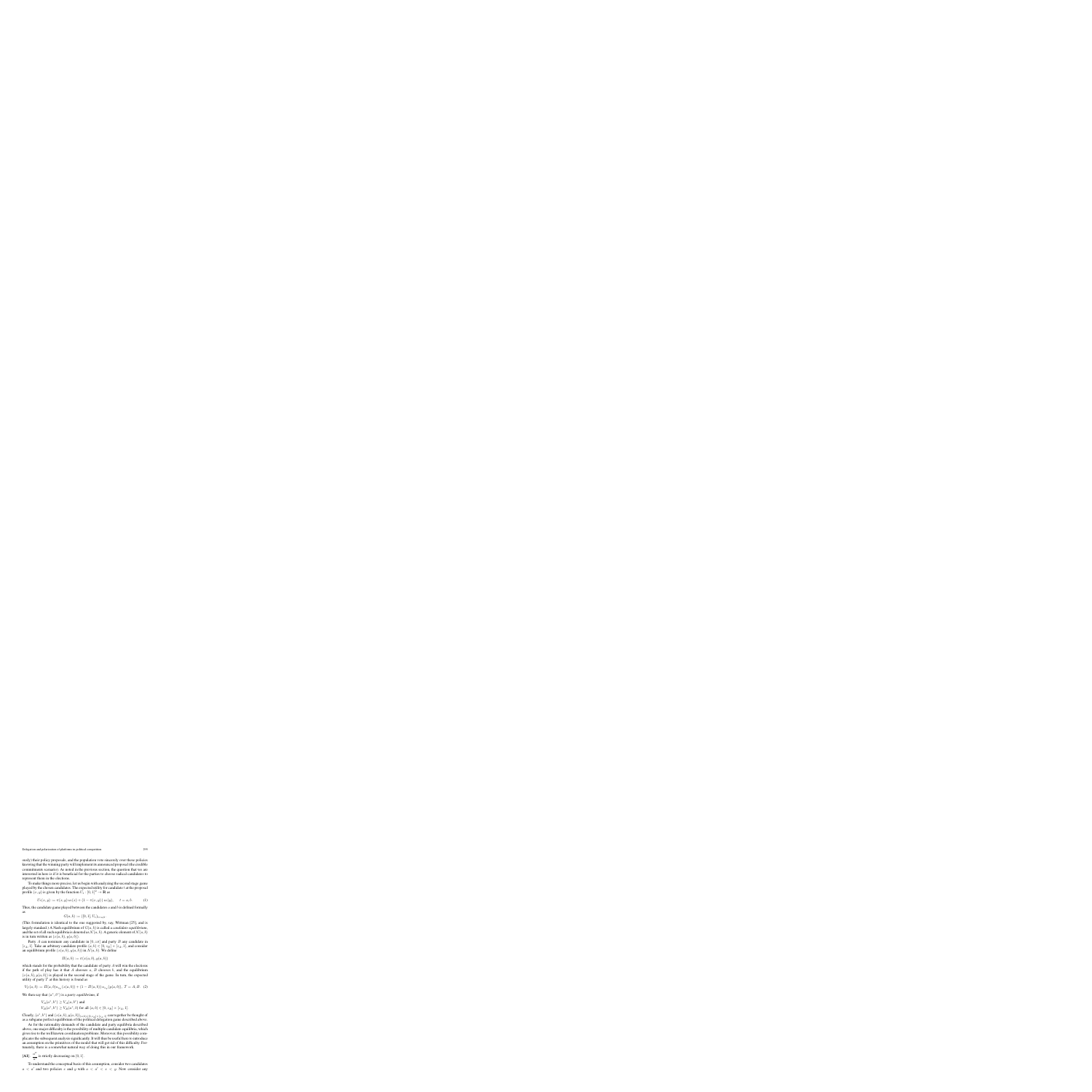ously) their policy proposals, and the population vote sincerely over these policies knowing that the winning party will implement its announced proposal (the credible commitments scenario). As noted in the previous section, the question that we are interested in here is if it is beneficial for the parties to choose radical candidates to represent them in the elections.

To make things more precise, let us begin with analyzing the second stage game played by the chosen candidates. The expected utility for candidate  $t$  at the proposal profile  $(x, y)$  is given by the function  $U_t : [0, 1]^2 \to \mathbf{R}$  as

$$
U_t(x,y) := \pi(x,y) u_t(x) + (1 - \pi(x,y)) u_t(y), \quad t = a, b.
$$
 (1)

Thus, the candidate game played between the candidates  $a$  and  $b$  is defined formally as

$$
G(a, b) := ([0, 1], U_t)_{t=a, b}.
$$

(This formulation is identical to the one suggested by, say, Wittman [25], and is largely standard.) A Nash equilibrium of  $G(a, b)$  is called a *candidate equilibrium*, and the set of all such equilibria is denoted as  $\mathcal{N}(a, b)$ . A generic element of  $\mathcal{N}(a, b)$ is in turn written as  $(x(a, b), y(a, b))$ .

Party A can nominate any candidate in  $[0, z_B]$  and party B any candidate in [ $z_A$ , 1]. Take an arbitrary candidate profile  $(a, b) \in [0, z_B] \times [z_A, 1]$ , and consider an equilibrium profile  $(x(a, b), y(a, b))$  in  $\mathcal{N}(a, b)$ . We define

$$
\Pi(a,b) := \pi(x(a,b), y(a,b))
$$

which stands for the probability that the candidate of party  $A$  will win the elections if the path of play has it that A chooses  $a, B$  chooses  $b$ , and the equilibrium  $(x(a, b), y(a, b))$  is played in the second stage of the game. In turn, the expected utility of party  $T$  at this history is found as

$$
V_T(a,b) := \Pi(a,b)u_{z_T}(x(a,b)) + (1 - \Pi(a,b))u_{z_T}(y(a,b)), \ T = A, B.
$$
 (2)

We then say that  $(a^*, b^*)$  is a *party equilibrium*, if

$$
V_A(a^*, b^*) \ge V_A(a, b^*) \text{ and}
$$
  
\n
$$
V_B(a^*, b^*) \ge V_B(a^*, b) \text{ for all } (a, b) \in [0, z_B] \times [z_A, 1].
$$

Clearly,  $(a^*, b^*)$  and  $(x(a, b), y(a, b))_{(a, b) \in [0, z_B] \times [z_A, 1]}$  can together be thought of as a subgame perfect equilibrium of the political delegation game described above.

As for the rationality demands of the candidate and party equilibria described above, one major difficulty is the possibility of multiple candidate equilibria, which gives rise to the well known coordination problems. Moreover, this possibility complicates the subsequent analysis significantly. It will thus be useful here to introduce an assumption on the primitives of the model that will get rid of this difficulty. Fortunately, there is a somewhat natural way of doing this in our framework.

[**A1**].  $\frac{u''}{u'}$  is strictly decreasing on [0, 1].

To understand the conceptual basis of this assumption, consider two candidates  $a < a'$  and two policies x and y with  $a < a' < x < y$ . Now consider any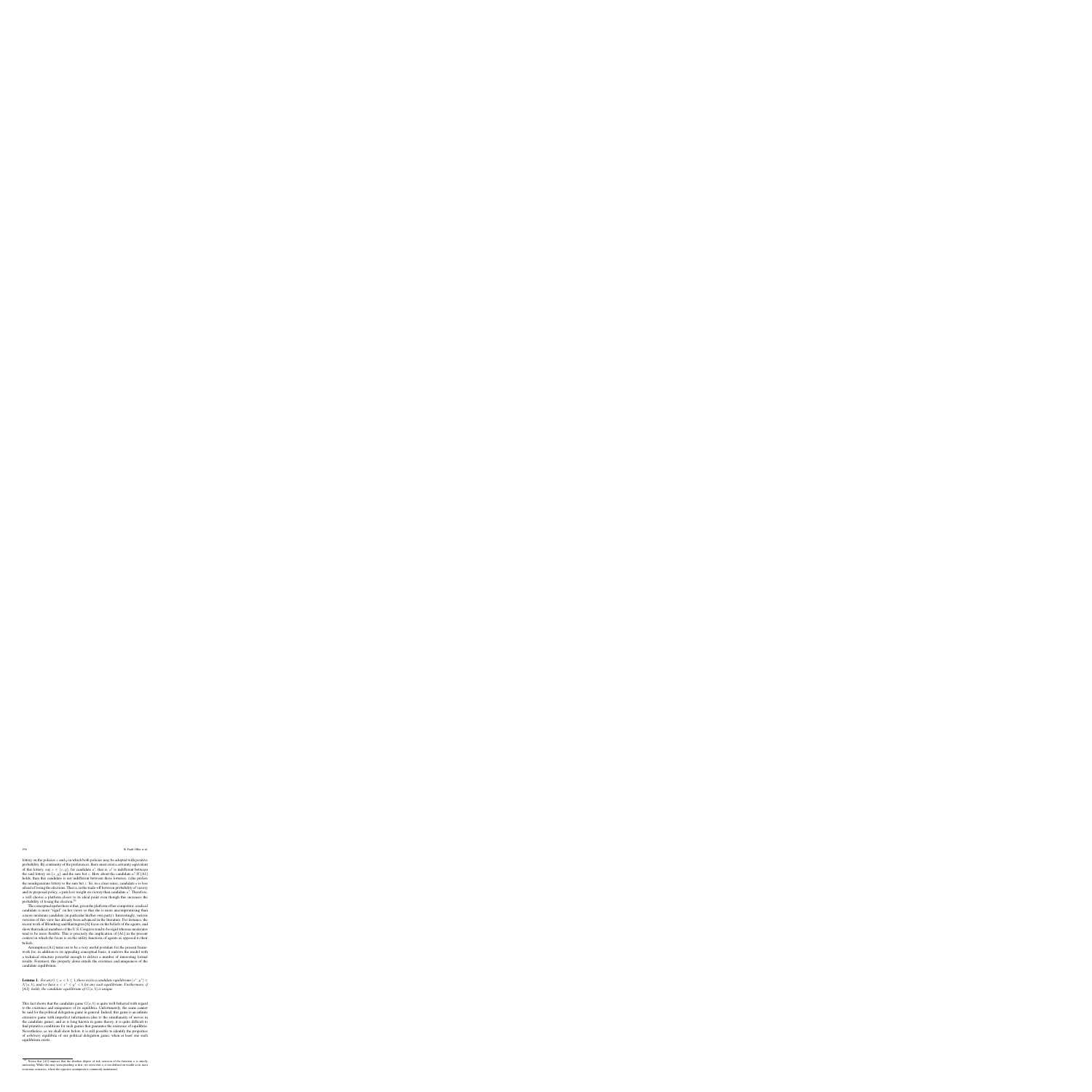lottery on the policies  $x$  and  $y$  in which both policies may be adopted with positive probability. By continuity of the preferences, there must exist a certainty equivalent of this lottery, say  $z \in (x, y)$ , for candidate  $a'$ ; that is,  $a'$  is indifferent between the said lottery on  $\{x, y\}$  and the sure bet z. How about the candidate a? If [A1] holds, then this candidate is not indifferent between these lotteries; (s)he prefers the nondegenerate lottery to the sure bet  $z$ . So, in a clear sense, candidate  $a$  is less afraid of losing the elections. That is, in the trade-off between probability of victory and its proposed policy,  $a$  puts less weight on victory than candidate  $a'$ . Therefore, a will choose a platform closer to its ideal point even though this increases the probability of losing the election**.** 10

The conceptual upshot here is that, given the platform of her competitor, a radical candidate is more "rigid" on her views so that she is more uncompromising than a more moderate candidate (in particular his/her own party). Interestingly, various versions of this view has already been advanced in the literature. For instance, the recent work of Blomberg and Harrington [6] focus on the beliefs of the agents, and show that radical members of the U.S. Congress tend to be rigid whereas moderates tend to be more flexible. This is precisely the implication of [A1] in the present context in which the focus is on the utility functions of agents as opposed to their beliefs.

Assumption [A1] turns out to be a very useful postulate for the present framework for, in addition to its appealing conceptual basis, it endows the model with a technical structure powerful enough to deliver a number of interesting formal results. Foremost, this property alone entails the existence and uniqueness of the candidate equilibrium.

**Lemma 1.** *For any*  $0 \le a \le b \le 1$ , *there exists a candidate equilibrium*  $(x^*, y^*) \in$  $\mathcal{N}(a, b)$ , and we have  $a < x^* < y^* < b$  for any such equilibrium. Furthermore, if [A1] *holds, the candidate equilibrium of*  $G(a, b)$  *is unique.* 

This fact shows that the candidate game  $G(a, b)$  is quite well-behaved with regard to the existence and uniqueness of its equilibria. Unfortunately, the same cannot be said for the political delegation game in general. Indeed, this game is an infinite extensive game with imperfect information (due to the simultaneity of moves in the candidate game), and as is long known in game theory, it is quite difficult to find primitive conditions for such games that guarantee the existence of equilibria. Nevertheless, as we shall show below, it is still possible to identify the properties of *arbitrary* equilibria of our political delegation game, when at least one such equilibrium exists.

<sup>&</sup>lt;sup>10</sup> Notice that [A1] imposes that the absolute degree of risk aversion of the function  $u$  is strictly increasing. While this may seem puzzling at first, we stress that  $u$  is not defined on wealth as in most economic scenarios, where the opposite assumption is commonly maintained.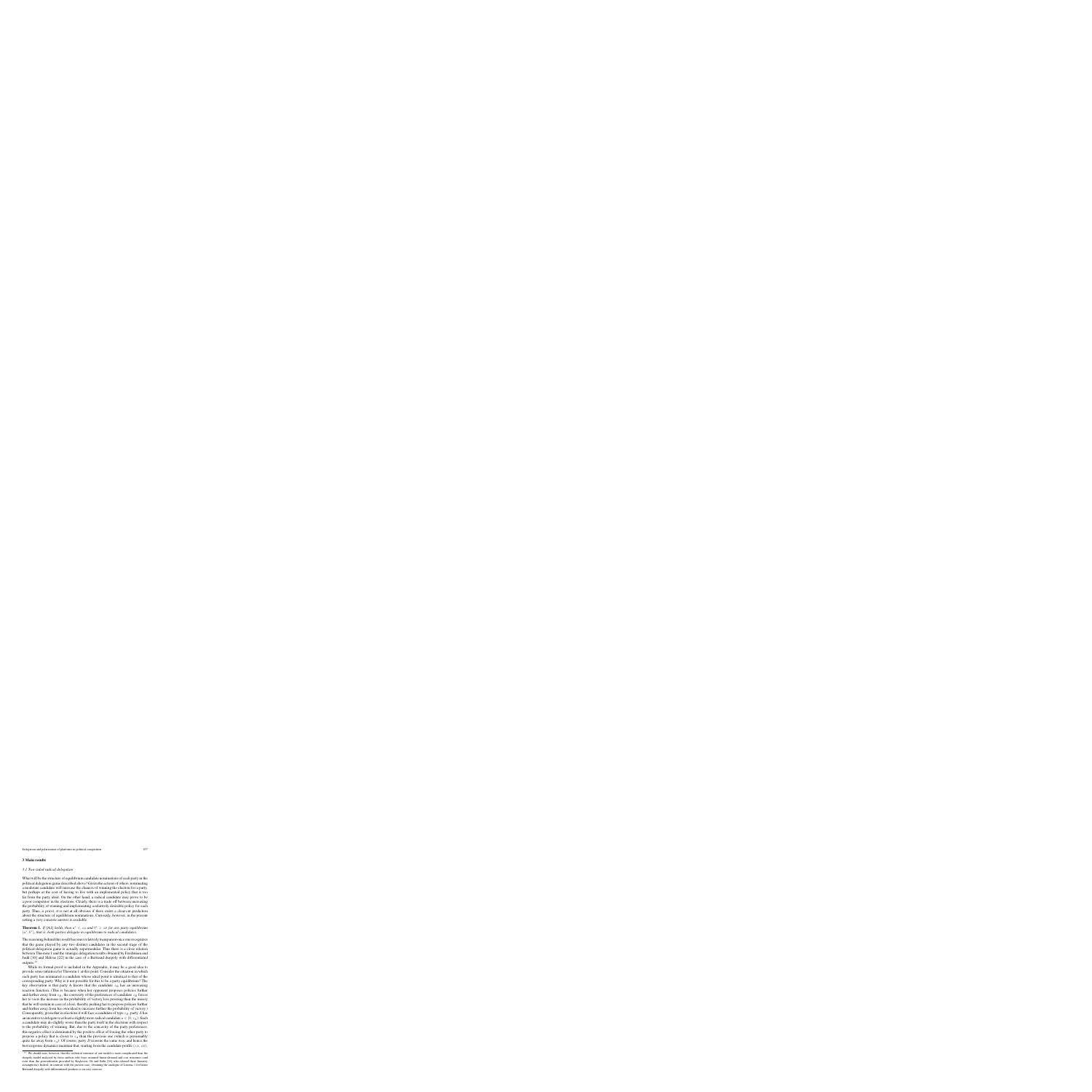## **3 Main results**

### *3.1 Two-sided radical delegation*

What will be the structure of equilibrium candidate nominations of each party in the political delegation game described above? Given the actions of others, nominating a moderate candidate will increase the chances of winning the election for a party, but perhaps at the cost of having to live with an implemented policy that is too far from the party ideal. On the other hand, a radical candidate may prove to be a poor competitor in the elections. Clearly, there is a trade off between increasing the probability of winning and implementing a relatively desirable policy for each party. Thus, *a priori*, it is not at all obvious if there exists a clear-cut prediction about the structure of equilibrium nominations. Curiously, however, in the present setting a very concrete answer is available:

**Theorem 1.** *If* [A1] *holds, then*  $a^* < z_A$  *and*  $b^* > z_B$  *for any party equilibrium* (a∗, b∗), *that is, both parties delegate in equilibrium to radical candidates.*

The reasoning behind this result becomes relatively transparent once one recognizes that the game played by any two distinct candidates in the second stage of the political delegation game is actually supermodular. Thus there is a close relation between Theorem 1 and the strategic delegation results obtained by Fershtman and Judd [10] and Sklivas [22] in the case of a Bertrand duopoly with differentiated outputs.11

While its formal proof is included in the Appendix, it may be a good idea to provide some intuition for Theorem 1 at this point. Consider the situation in which each party has nominated a candidate whose ideal point is identical to that of the corresponding party. Why is it not possible for this to be a party equilibrium? The key observation is that party A knows that the candidate  $z_B$  has an increasing reaction function. (This is because when her opponent proposes policies further and further away from  $z_B$ , the convexity of the preferences of candidate  $z_B$  forces her to view the increase in the probability of victory less pressing than the misery that he will sustain in case of a loss, thereby pushing her to propose policies further and further away from his own ideal to increase further the probability of victory.) Consequently, given that in elections it will face a candidate of type  $z_B$ , party A has an incentive to delegate to at least a slightly more radical candidate  $a \in [0, z_A)$ . Such a candidate may do slightly worse than the party itself in the elections with respect to the probability of winning. But, due to the concavity of the party preferences, this negative effect is dominated by the positive effect of forcing the other party to propose a policy that is closer to  $z_A$  than the previous one (which is presumably quite far away from  $z_A$ ). Of course, party B reasons the same way, and hence the best response dynamics maintain that, starting from the candidate profile  $(z_A, z_B)$ ,

<sup>&</sup>lt;sup>11</sup> We should note, however, that the technical structure of our model is more complicated than the duopoly model analyzed by these authors who have assumed linear demand and cost structures (and even than the generalization provided by Kockesen, Ok and Sethi [16] who relaxed these linearity assumptions). Indeed, in contrast with the present case, obtaining the analogue of Lemma 1 for linear Bertrand duopoly with differentiated products is an easy exercise.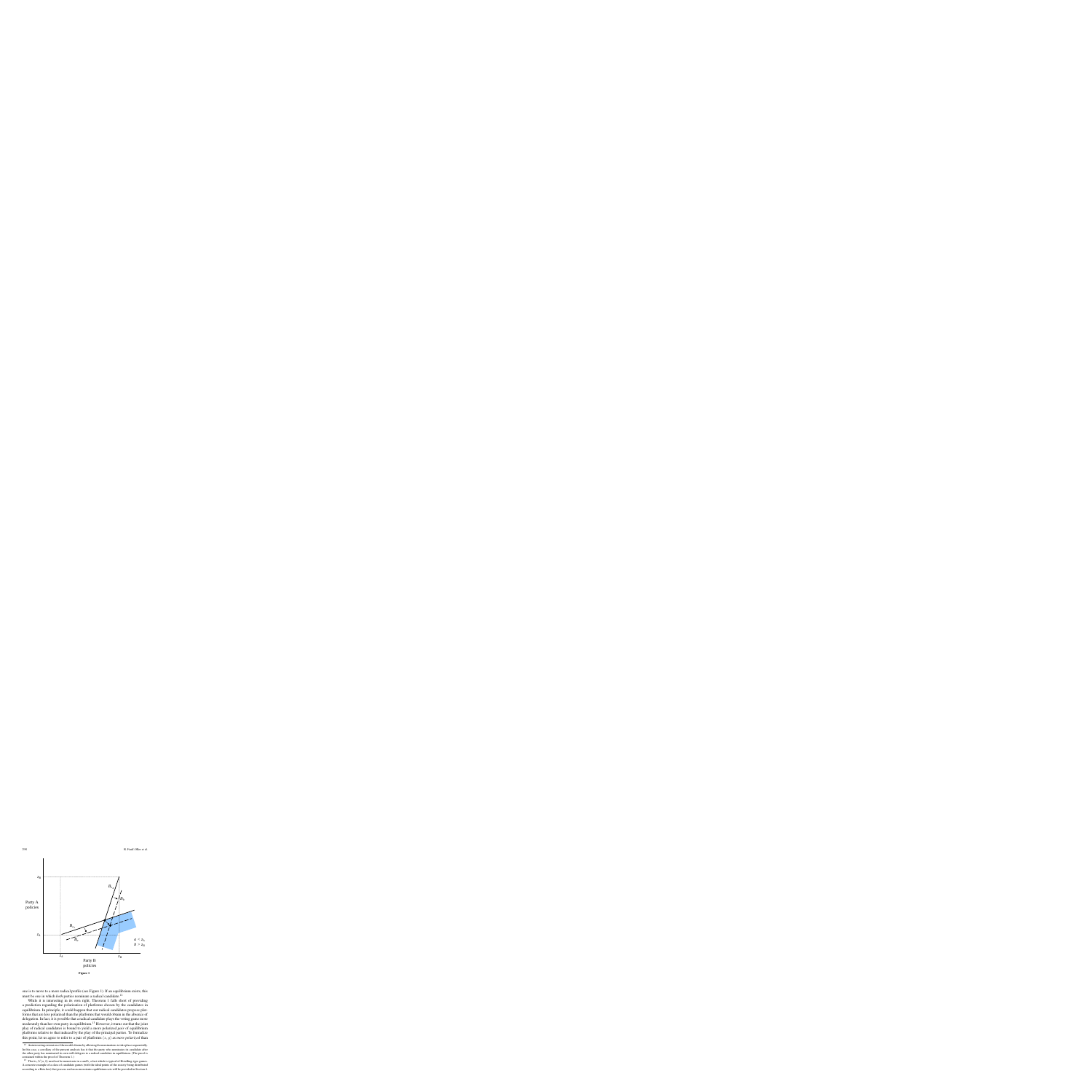

**Figure 1**

one is to move to a more radical profile (see Figure 1). If an equilibrium exists, this must be one in which *both* parties nominate a radical candidate.<sup>12</sup>

While it is interesting in its own right, Theorem 1 falls short of providing a prediction regarding the polarization of platforms chosen by the candidates in equilibrium. In principle, it could happen that our radical candidates propose platforms that are less polarized than the platforms that would obtain in the absence of delegation. In fact, it is possible that a radical candidate plays the voting game more moderately than her own party in equilibrium.<sup>13</sup> However, it turns out that the joint play of radical candidates is bound to yield a more polarized *pair* of equilibrium platforms relative to that induced by the play of the principal parties. To formalize this point, let us agree to refer to a pair of platforms  $(x, y)$  as *more polarized* than

 $12$  An interesting extension of the model obtains by allowing the nominations to take place sequentially. In this case, a corollary of the present analysis has it that the party who nominates its candidate after the other party has nominated its own will delegate to a radical candidate in equilibrium. (The proof is contained within the proof of Theorem 1.)

<sup>&</sup>lt;sup>13</sup> That is,  $\mathcal{N}(a, b)$  need not be monotonic in a and b, a fact which is typical of Hotelling-type games. A concrete example of a class of candidate games (with the ideal points of the society being distributed according to a Beta law) that possess such non-monotonic equilibrium sets will be provided in Section 4.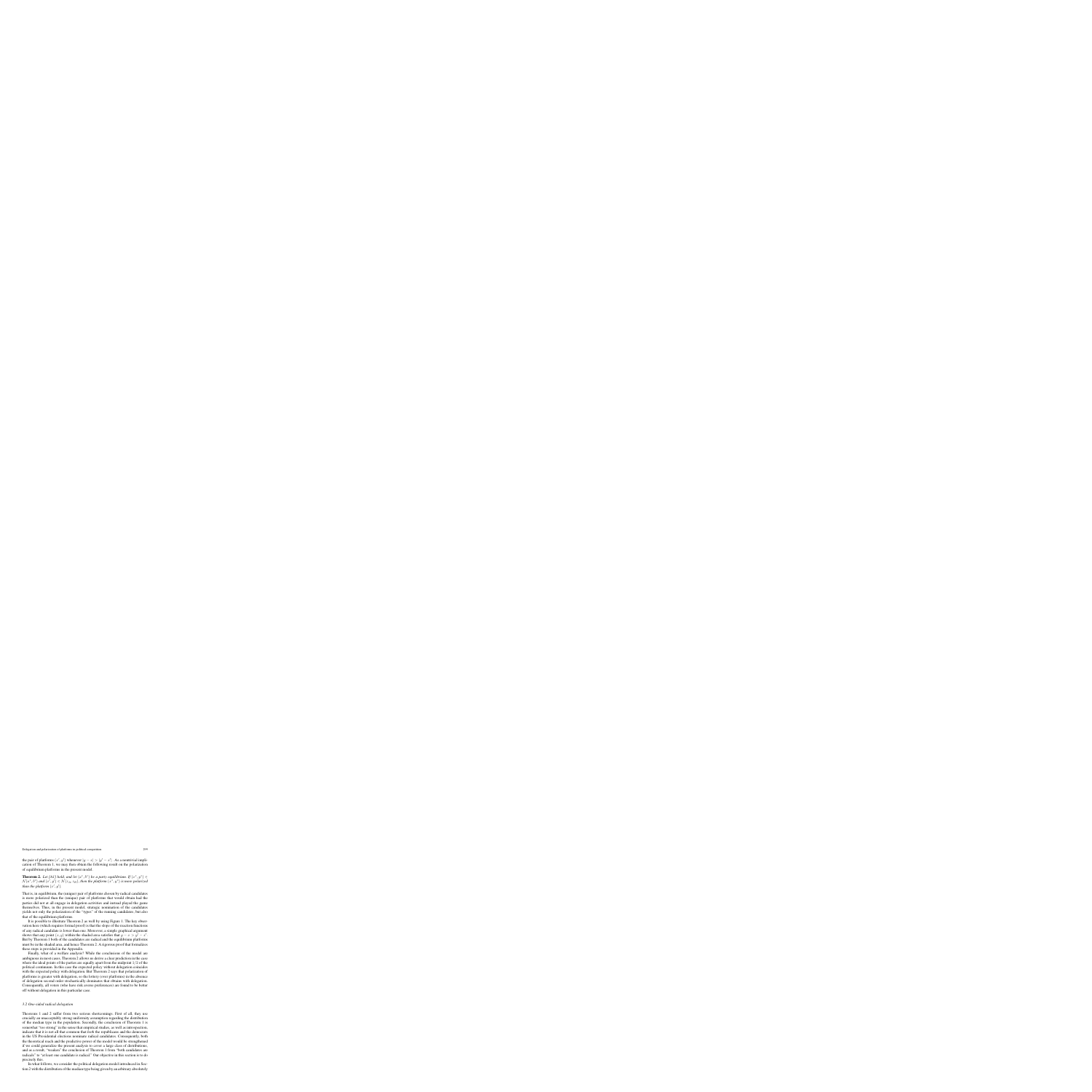the pair of platforms  $(x', y')$  whenever  $|y - x| > |y' - x'|$ . As a nontrivial implication of Theorem 1, we may then obtain the following result on the polarization of equilibrium platforms in the present model.

**Theorem 2.** *Let* [A1] hold, and let  $(a^*, b^*)$  be a party equilibrium. If  $(x^*, y^*) \in$  $\mathcal{N}(a^*,b^*)$  and  $(x',y') \in \mathcal{N}(z_A,z_B)$ , then the platform  $(x^*,y^*)$  is more polarized *than the platform*  $(x', y')$ .

That is, in equilibrium, the (unique) pair of platforms chosen by radical candidates is more polarized than the (unique) pair of platforms that would obtain had the parties did not at all engage in delegation activities and instead played the game themselves. Thus, in the present model, strategic nomination of the candidates yields not only the polarization of the "types" of the running candidates, but also that of the equilibrium platforms.

It is possible to illustrate Theorem 2 as well by using Figure 1. The key observation here (which requires formal proof) is that the slope of the reaction functions of any radical candidate is lower than one. Moreover, a simple graphical argument shows that any point  $(x, y)$  within the shaded area satisfies that  $y - x > y' - x'$ . But by Theorem 1 both of the candidates are radical and the equilibrium platforms must be in the shaded area, and hence Theorem 2. A rigorous proof that formalizes these steps is provided in the Appendix.

Finally, what of a welfare analysis? While the conclusions of the model are ambiguous in most cases, Theorem 2 allows us derive a clear prediction in the case where the ideal points of the parties are equally apart from the midpoint 1/2 of the political continuum. In this case the expected policy without delegation coincides with the expected policy with delegation. But Theorem 2 says that polarization of platforms is greater with delegation, so the lottery (over platforms) in the absence of delegation second order stochastically dominates that obtains with delegation. Consequently, all voters (who have risk averse preferences) are found to be better off without delegation in this particular case.

### *3.2 One-sided radical delegation*

Theorems 1 and 2 suffer from two serious shortcomings. First of all, they use crucially an unacceptably strong uniformity assumption regarding the distribution of the median type in the population. Secondly, the conclusion of Theorem 1 is somewhat "too strong" in the sense that empirical studies, as well as introspection, indicate that it is not all that common that *both* the republicans and the democrats in the US Presidential elections nominate radical candidates. Consequently, both the theoretical reach and the predictive power of the model would be strengthened if we could generalize the present analysis to cover a large class of distributions, and as a result, "weaken" the conclusion of Theorem 1 from "both candidates are radicals" to "at least one candidate is radical." Our objective in this section is to do precisely this.

In what follows, we consider the political delegation model introduced in Section 2 with the distribution of the median type being given by an arbitrary absolutely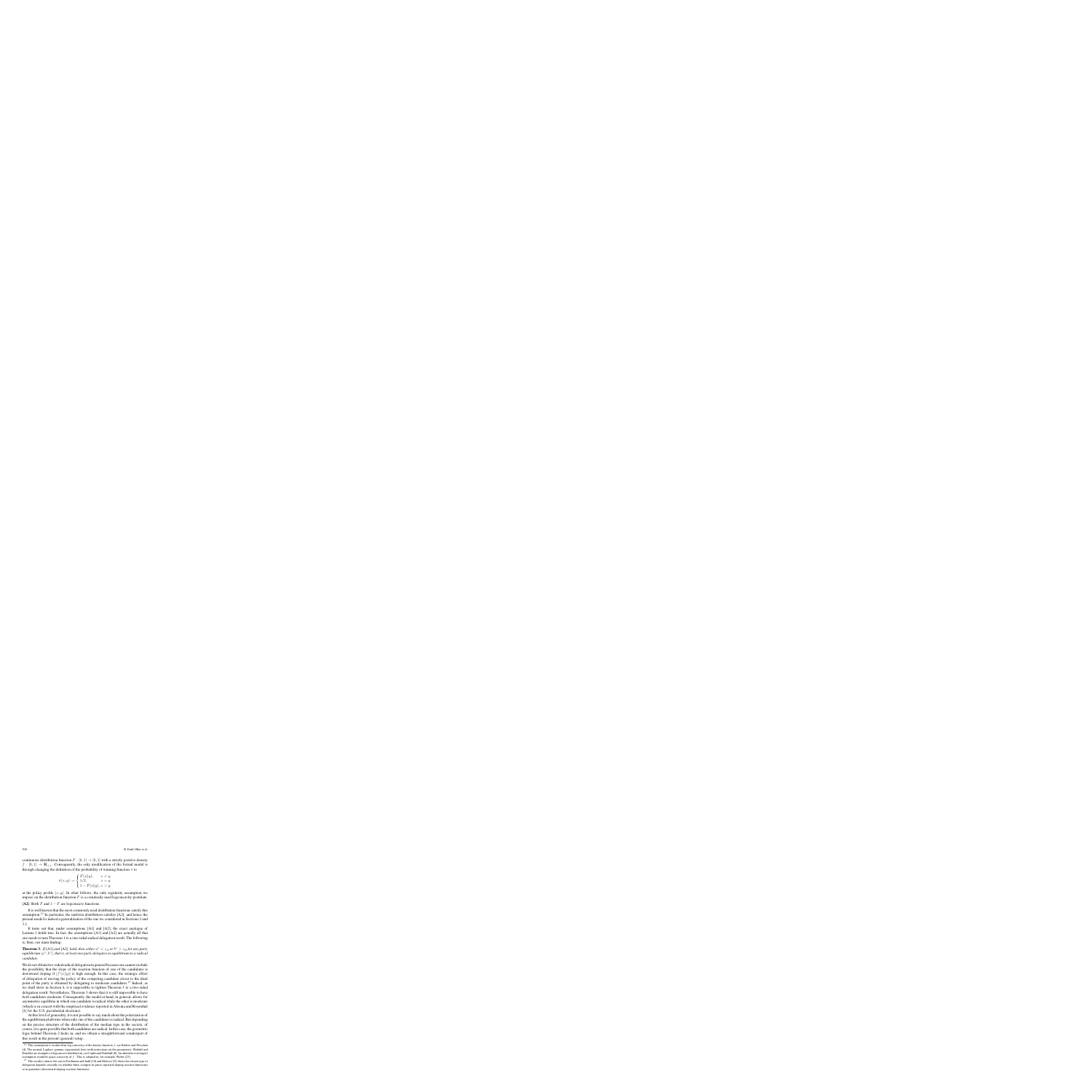continuous distribution function  $F : [0, 1] \rightarrow [0, 1]$  with a strictly positive density  $f : [0,1] \rightarrow \mathbf{R}_{++}$ . Consequently, the only modification of the formal model is through changing the definition of the probability of winning function  $\pi$  to

$$
\pi(x,y) := \begin{cases} F(x||y), & x < y \\ 1/2, & x = y \\ 1 - F(x||y), & x > y \end{cases}
$$

at the policy profile  $(x, y)$ . In what follows, the only regularity assumption we impose on the distribution function  $F$  is a commonly used logconcavity postulate.

[**A2**]. Both F and  $1 - F$  are logconcave functions.

It is well known that the most commonly used distribution functions satisfy this assumption.<sup>14</sup> In particular, the uniform distribution satisfies  $[A2]$ , and hence the present model is indeed a generalization of the one we considered in Sections 2 and 3.1.

It turns out that, under assumptions [A1] and [A2], the exact analogue of Lemma 1 holds true. In fact, the assumptions [A1] and [A2] are actually all that one needs to turn Theorem 1 to a one-sided radical delegation result. The following is, then, our main finding:

**Theorem 3.** *If* [A1] *and* [A2] *hold, then either*  $a^* < z_A$  *or*  $b^* > z_B$  *for any party equilibrium* (a∗, b∗), *that is, at least one party delegates in equilibrium to a radical candidate.*

We do not obtain two-sided radical delegation in general because one cannot exclude the possibility that the slope of the reaction function of one of the candidates is downward sloping if  $|f'(x||y)|$  is high enough. In this case, the strategic effect of delegation of moving the policy of the competing candidate closer to the ideal point of the party is obtained by delegating to moderate candidates.<sup>15</sup> Indeed, as we shall show in Section 4, it is impossible to tighten Theorem 3 to a two-sided delegation result. Nevertheless, Theorem 3 shows that it is still impossible to have *both* candidates moderate. Consequently, the model at hand, in general, allows for asymmetric equilibria in which one candidate is radical while the other is moderate (which is in concert with the empirical evidence reported in Alesina and Rosenthal [1] for the U.S. presidential elections).

At this level of generality, it is not possible to say much about the polarization of the equilibrium platforms when only one of the candidates is radical. But depending on the precise structure of the distribution of the median type in the society, of course, it is quite possible that both candidates are radical. In this case, the geometric logic behind Theorem 2 kicks in, and we obtain a straightforward counterpart of this result in the present (general) setup.

<sup>&</sup>lt;sup>14</sup> This assumption is weaker than log-concavity of the density function  $f$ ; see Barlow and Proschan [4]. The normal, Laplace, gamma, exponential, beta (with restrictions on the parameters), Weibull and Dirichlet are examples of logconcave distributions, see Caplin and Nalebuff [8]. An alternative (stronger) assumption would be quasi-concavity of  $f$ . This is adopted in, for example, Weber [23].

<sup>&</sup>lt;sup>15</sup> This result is akin to the one in Fershtman and Judd [10] and Sklivas [22] where the chosen type of delegation depends crucially on whether firms compete in prices (upward-sloping reaction functions) or in quantities (downward-sloping reaction functions).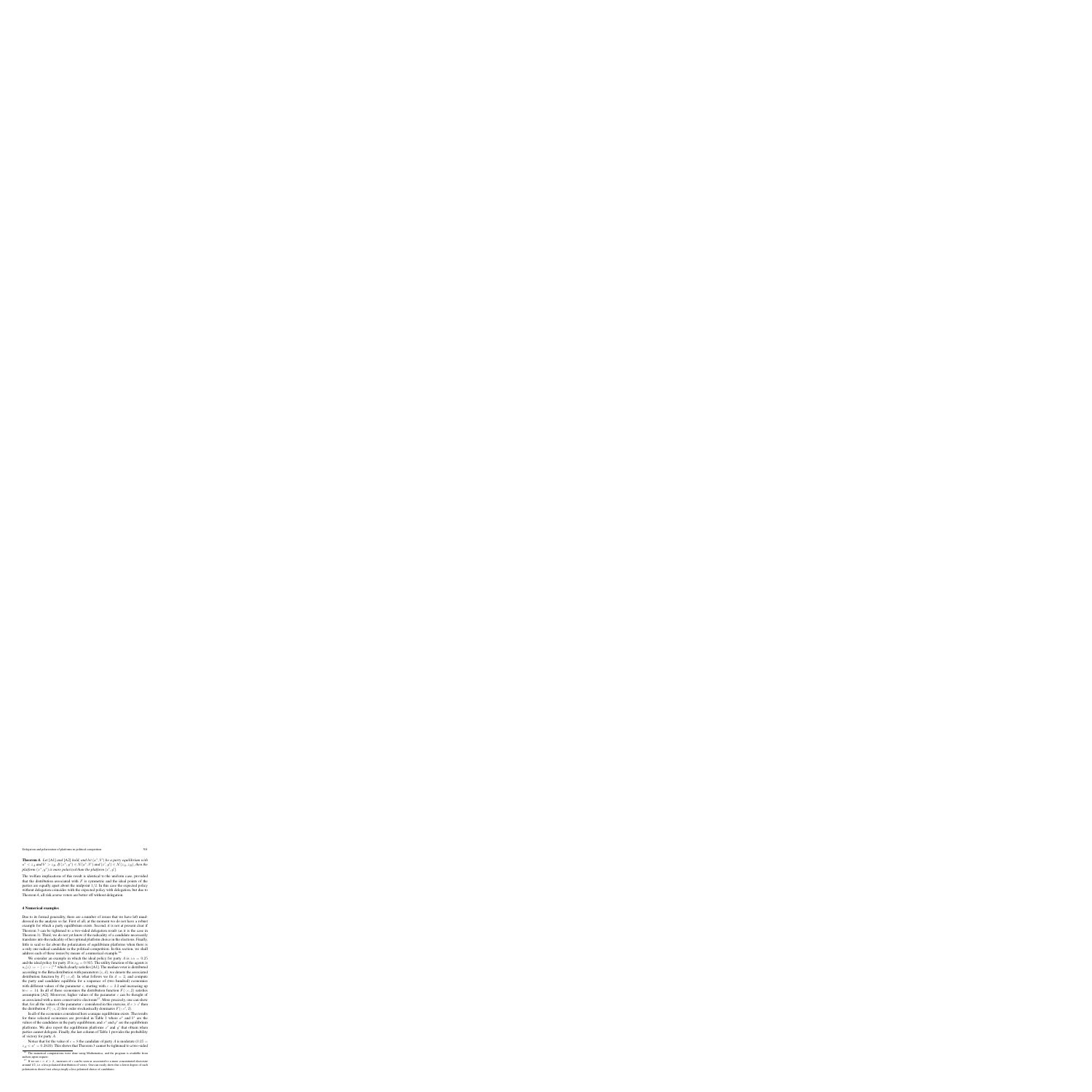**Theorem 4.** *Let* [A1] *and* [A2] *hold, and let* (a∗, b∗) *be a party equilibrium with*  $a^* < z_A$  and  $b^* > z_B$ . If  $(x^*, y^*) \in \mathcal{N}(a^*, b^*)$  and  $(x', y') \in \mathcal{N}(z_A, z_B)$ , then the  $p$ *latform*  $(x^*, y^*)$  *is more polarized than the platform*  $(x', y')$ *.* 

The welfare implications of this result is identical to the uniform case, provided that the distribution associated with  $F$  is symmetric and the ideal points of the parties are equally apart about the midpoint  $1/2$ . In this case the expected policy without delegation coincides with the expected policy with delegation, but due to Theorem 4, all risk averse voters are better off without delegation.

#### **4 Numerical examples**

Due to its formal generality, there are a number of issues that we have left unaddressed in the analysis so far. First of all, at the moment we do not have a robust example for which a party equilibrium exists. Second, it is not at present clear if Theorem 3 can be tightened to a two-sided delegation result (as it is the case in Theorem 1). Third, we do not yet know if the radicality of a candidate necessarily translates into the radicality of her optimal platform choice in the elections. Finally, little is said so far about the polarization of equilibrium platforms when there is a only one radical candidate in the political competition. In this section, we shall address each of these issues by means of a numerical example.<sup>16</sup>

We consider an example in which the ideal policy for party A is  $z_A = 0.25$ and the ideal policy for party B is  $z_B = 0.935$ . The utility function of the agents is  $u_i(z) := - \int_0^z -i \, |^{1,2}$  which clearly satisfies [A1]. The median voter is distributed according to the Beta distribution with parameters  $(c, d)$ ; we denote the associated distribution function by  $F(\cdot; c, d)$ . In what follows we fix  $d = 2$ , and compute the party and candidate equilibria for a sequence of (two hundred) economies with different values of the parameter c, starting with  $c = 2.2$  and increasing up to  $c = 14$ . In all of these economies the distribution function  $F(\cdot; c, 2)$  satisfies assumption [A2]. Moreover, higher values of the parameter  $c$  can be thought of as associated with a more conservative electorate<sup>17</sup>. More precisely, one can show that, for all the values of the parameter c considered in this exercise, if  $c > c'$  then the distribution  $F(\cdot; c, 2)$  first order stochastically dominates  $F(\cdot; c', 2)$ .

In all of the economies considered here a unique equilibrium exists. The results for three selected economies are provided in Table 1 where  $a^*$  and  $b^*$  are the values of the candidates in the party equilibrium, and  $x^*$  and  $y^*$  are the equilibrium platforms. We also report the equilibrium platforms  $x'$  and  $y'$  that obtain when parties cannot delegate. Finally, the last column of Table 1 provides the probability of victory for party A.

Notice that for the value of  $c = 8$  the candidate of party A is moderate (0.25 =  $z_A < a^* = 0.2820$ . This shows that Theorem 3 cannot be tightened to a two-sided

<sup>&</sup>lt;sup>16</sup> The numerical computations were done using Mathematica, and the program is available from authors upon request.

<sup>&</sup>lt;sup>17</sup> If we set  $c = d > 2$ , increases of c can be seen as associated to a more concentrated electorate around 1/2, i.e. a less polarized distribution of voters. One can easily show that a lower degree of such polarization doesn't not always imply a less polarized choice of candidates.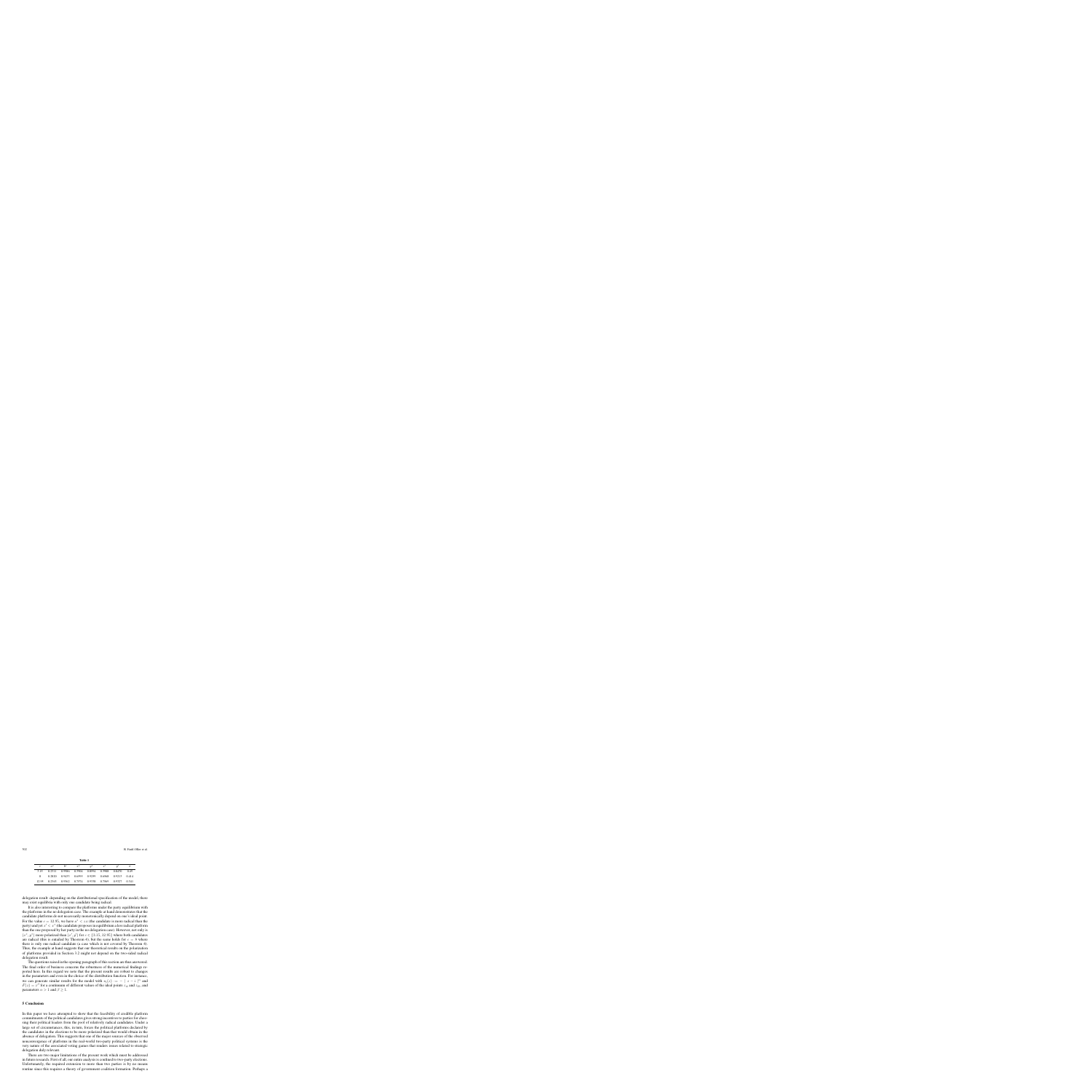|--|--|

| c | $a^*$        | $h^*$ | $x^*$ | $u^*$                                          | x' | $\mathcal{U}'$ |      |
|---|--------------|-------|-------|------------------------------------------------|----|----------------|------|
|   |              |       |       | 3.15 0.2311 0.9986 0.3904 0.8594 0.3908 0.8470 |    |                | 0.49 |
|   | 0.2820       |       |       | 0.9433 0.6595 0.9259 0.6568 0.9213 0.414       |    |                |      |
|   | 12.95 0.2363 |       |       | 0.9362 0.7574 0.9338 0.7569 0.9327 0.341       |    |                |      |

delegation result: depending on the distributional specification of the model, there may exist equilibria with only one candidate being radical.

It is also interesting to compare the platforms under the party equilibrium with the platforms in the no delegation case. The example at hand demonstrates that the candidate platforms do not necessarily monotonically depend on one's ideal point. For the value  $c = 12.95$ , we have  $a^* < z_A$  (the candidate is more radical than the party) and yet  $x' < x^*$  (the candidate proposes in equilibrium a less radical platform than the one proposed by her party in the no delegation case). However, not only is  $(x^*, y^*)$  more polarized than  $(x', y')$  for  $c \in \{3.15, 12.95\}$  where both candidates are radical (this is entailed by Theorem 4), but the same holds for  $c = 8$  where there is only one radical candidate (a case which is not covered by Theorem 4). Thus, the example at hand suggests that our theoretical results on the polarization of platforms provided in Section 3.2 might not depend on the two-sided radical delegation result.

The questions raised in the opening paragraph of this section are thus answered. The final order of business concerns the robustness of the numerical findings reported here. In this regard we note that the present results are robust to changes in the parameters and even in the choice of the distribution function. For instance, we can generate similar results for the model with  $u_i(z) := - \mid z - i \mid^\alpha$  and  $F(z) = z^{\beta}$  for a continuum of different values of the ideal points  $z_A$  and  $z_B$ , and parameters  $\alpha > 1$  and  $\beta > 1$ .

# **5 Conclusion**

In this paper we have attempted to show that the feasibility of credible platform commitments of the political candidates gives strong incentives to parties for choosing their political leaders from the pool of relatively radical candidates. Under a large set of circumstances, this, in turn, forces the political platforms declared by the candidates in the elections to be more polarized than that would obtain in the absence of delegation. This suggests that one of the major sources of the observed nonconvergence of platforms in the real-world two-party political systems is the very nature of the associated voting games that renders issues related to strategic delegation duly relevant.

There are two major limitations of the present work which must be addressed in future research. First of all, our entire analysis is confined to two-party elections. Unfortunately, the required extension to more than two parties is by no means routine since this requires a theory of government coalition formation. Perhaps a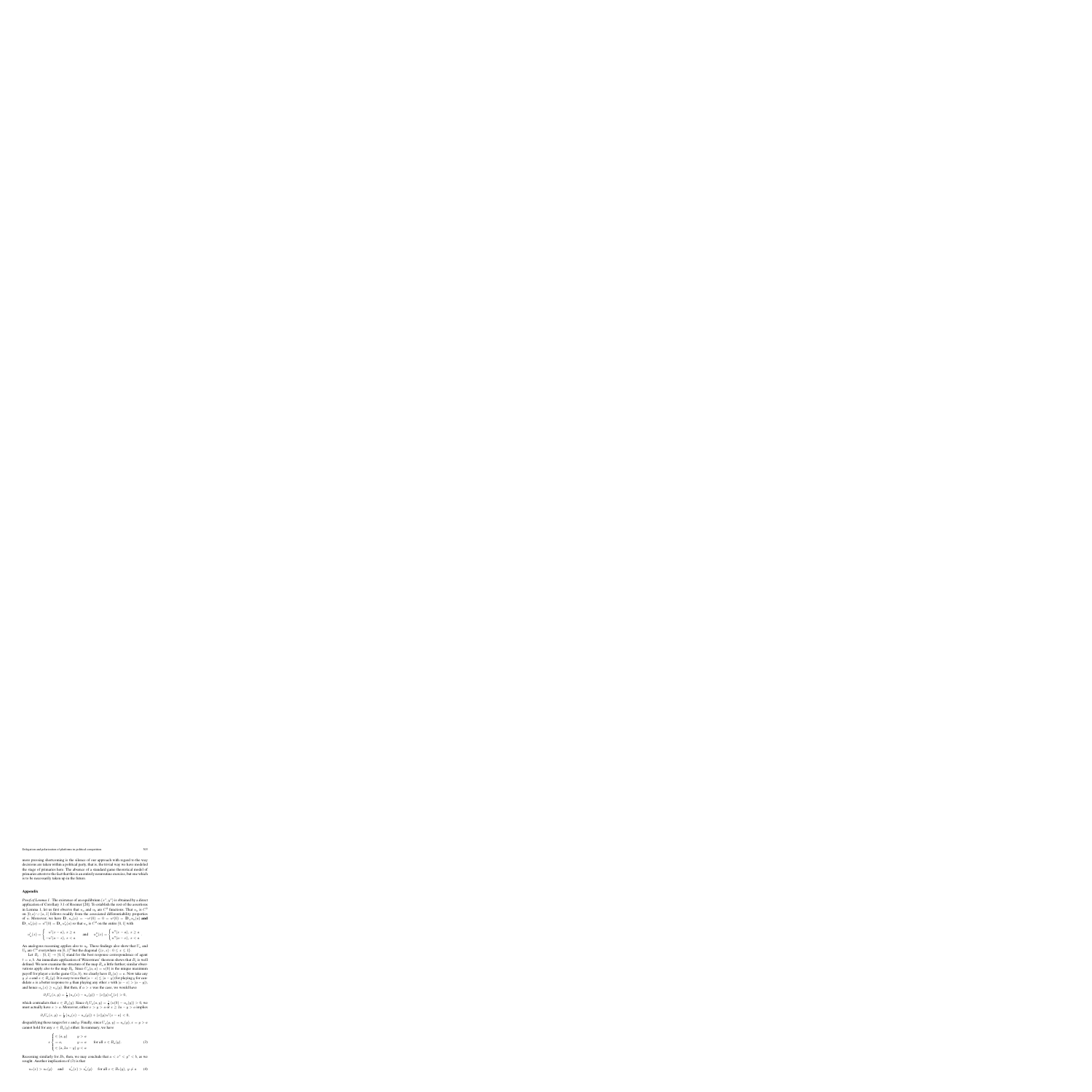more pressing shortcoming is the silence of our approach with regard to the way decisions are taken within a political party, that is, the trivial way we have modeled the stage of primaries here. The absence of a standard game theoretical model of primaries attests to the fact that this is an entirely nonroutine exercise, but one which is to be necessarily taken up in the future.

### **Appendix**

*Proof of Lemma 1.* The existence of an equilibrium  $(x^*, y^*)$  is obtained by a direct application of Corollary 3.1 of Roemer [20]. To establish the rest of the assertions in Lemma 1, let us first observe that  $u_a$  and  $u_b$  are  $C^2$  functions. That  $u_a$  is  $C^2$ on  $[0, a) \cup (a, 1]$  follows readily from the associated differentiability properties of u. Moreover, we have  $D_{-}u_{a}(a) = -u'(0) = 0 = u'(0) = D_{+}u_{a}(a)$  and  $D_{-}u_{a}'(a) = u''(0) = D_{+}u_{a}'(a)$  so that  $u_{a}$  is  $C^{2}$  on the entire [0, 1] with

$$
u'_a(x) = \begin{cases} u'(x-a), & x \ge a \\ -u'(a-x), & x < a \end{cases} \quad \text{and} \quad u''_a(x) = \begin{cases} u''(x-a), & x \ge a \\ u''(a-x), & x < a \end{cases}.
$$

An analogous reasoning applies also to  $u<sub>b</sub>$ . These findings also show that  $U<sub>a</sub>$  and  $U_b$  are  $C^2$  everywhere on  $[0, 1]^2$  but the diagonal  $\{(x, x): 0 \le x \le 1\}.$ 

Let  $B_t : [0, 1] \rightarrow [0, 1]$  stand for the best response correspondence of agent  $t = a, b$ . An immediate application of Weierstrass' theorem shows that  $B_t$  is well defined. We now examine the structure of the map  $B_a$  a little further; similar observations apply also to the map  $B_b$ . Since  $U_a(a, a) = u(0)$  is the unique maximum payoff for player a in the game  $G(a, b)$ , we clearly have  $B_a(a) = a$ . Now take any  $y \neq a$  and  $x \in B_a(y)$ . It is easy to see that  $|a-x| \leq |a-y|$  (for playing y for candidate a is a better response to y than playing any other x with  $|a-x| > |a-y|$ ), and hence  $u_a(x) \ge u_a(y)$ . But then, if  $a > x$  was the case, we would have

$$
\partial_1 U_a(x, y) = \frac{1}{2} \left( u_a(x) - u_a(y) \right) - \left( x \| y \right) u'_a(x) > 0,
$$

which contradicts that  $x \in B_a(y)$ . Since  $\partial_1 U_a(a, y) = \frac{1}{2} (u(0) - u_a(y)) > 0$ , we must actually have  $x > a$ . Moreover, either  $x > y > a$  or  $x \ge 2a - y > a$  implies

$$
\partial_1 U_a(x,y) = \frac{1}{2} \left( u_a(x) - u_a(y) \right) + \left( x \middle| y \right) u'(x - a) < 0,
$$

disqualifying these ranges for x and y. Finally, since  $U_a(y, y) = u_a(y), x = y > a$ cannot hold for any  $x \in B_a(y)$  either. In summary, we have

$$
x \begin{cases} \in (a, y) & y > a \\ = a, & y = a \\ \in (a, 2a - y) \ y < a \end{cases} \quad \text{for all } x \in B_a(y). \tag{3}
$$

Reasoning similarly for  $B_b$ , then, we may conclude that  $a < x^* < y^* < b$ , as we sought. Another implication of (3) is that

$$
u_a(x) > u_a(y) \quad \text{ and } \quad u'_a(x) > u'_a(y) \quad \text{ for all } x \in B_a(y), y \neq a \quad (4)
$$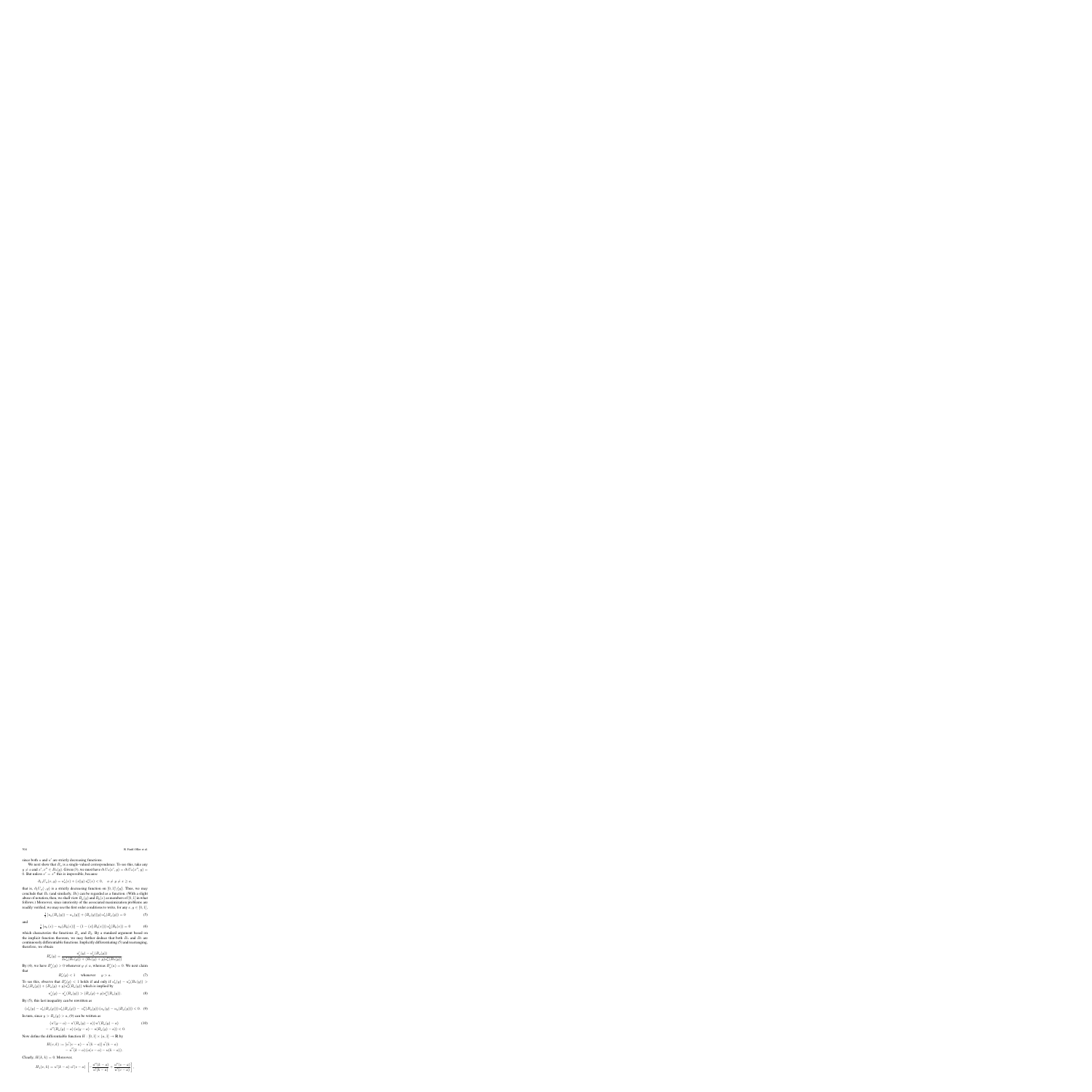since both  $u$  and  $u'$  are strictly decreasing functions.

We next show that  $B_a$  is a single-valued correspondence. To see this, take any  $y \neq a$  and  $x', x'' \in B_a(y)$ . Given (3), we must have  $\partial_1 U_a(x', y) = \partial_1 U_a(x'', y) =$ 0. But unless  $x' = x''$  this is impossible, because

$$
\partial_{11}U_a(x,y)=u_a'(x)+(x\|y)\,u_a''(x)<0,\quad a\neq y\neq x\geq a,
$$

that is,  $\partial_1 U_a(\cdot, y)$  is a strictly decreasing function on  $[0, 1] \setminus \{y\}$ . Thus, we may conclude that  $B_a$  (and similarly,  $B_b$ ) can be regarded as a function. (With a slight abuse of notation, then, we shall view  $B_a(y)$  and  $B_b(x)$  as members of [0, 1] in what follows.) Moreover, since interiority of the associated maximization problems are readily verified, we may use the first order conditions to write, for any  $x, y \in [0, 1]$ ,

$$
\frac{1}{2} [u_a(B_a(y)) - u_a(y)] + (B_a(y)||y) u'_a(B_a(y)) = 0 \tag{5}
$$

and

$$
\frac{1}{2} [u_b(x) - u_b(B_b(x))] - (1 - (x||B_b(x))) u'_b(B_b(x)) = 0
$$
 (6)

which characterize the functions  $B_a$  and  $B_b$ . By a standard argument based on the implicit function theorem, we may further deduce that both  $B_a$  and  $B_b$  are continuously differentiable functions. Implicitly differentiating (5) and rearranging, therefore, we obtain

$$
B'_a(y) = \frac{u'_a(y) - u'_a(B_a(y))}{2u'_a(B_a(y)) + (B_a(y) + y)u''_a(B_a(y))}.
$$

By (4), we have  $B'_a(y) > 0$  whenever  $y \neq a$ , whereas  $B'_a(a) = 0$ . We next claim that

$$
B'_a(y) < 1 \quad \text{whenever} \quad y > a. \tag{7}
$$

To see this, observe that  $B'_a(y) < 1$  holds if and only if  $u'_a(y) - u'_a(B_a(y)) >$  $2u'_a(B_a(y)) + (B_a(y) + y)u''_a(B_a(y))$  which is implied by

$$
u'_a(y) - u'_a(B_a(y)) > (B_a(y) + y)u''_a(B_a(y)).
$$
\n(8)

By (5), this last inequality can be rewritten as

$$
(u'_a(y) - u'_a(B_a(y))) u'_a(B_a(y)) - u''_a(B_a(y)) (u_a(y) - u_a(B_a(y))) < 0. \tag{9}
$$

In turn, since  $y > B_a(y) > a$ , (9) can be written as

$$
(u'(y-a) - u'(B_a(y) - a)) u'(B_a(y) - a)
$$
  
- 
$$
u''(B_a(y) - a) (u(y-a) - u(B_a(y) - a)) < 0.
$$
 (10)

Now define the differentiable function  $H : [0, 1] \times (a, 1] \rightarrow \mathbf{R}$  by

$$
H(v,k) := [u'(v-a) - u'(k-a)]u'(k-a)
$$
  
- 
$$
u''(k-a) (u(v-a) - u(k-a)).
$$

Clearly,  $H(k, k) = 0$ . Moreover,

$$
H_1(v,k) = u'(k-a) u'(v-a) \left[ -\frac{u''(k-a)}{u'(k-a)} + \frac{u''(v-a)}{u'(v-a)} \right],
$$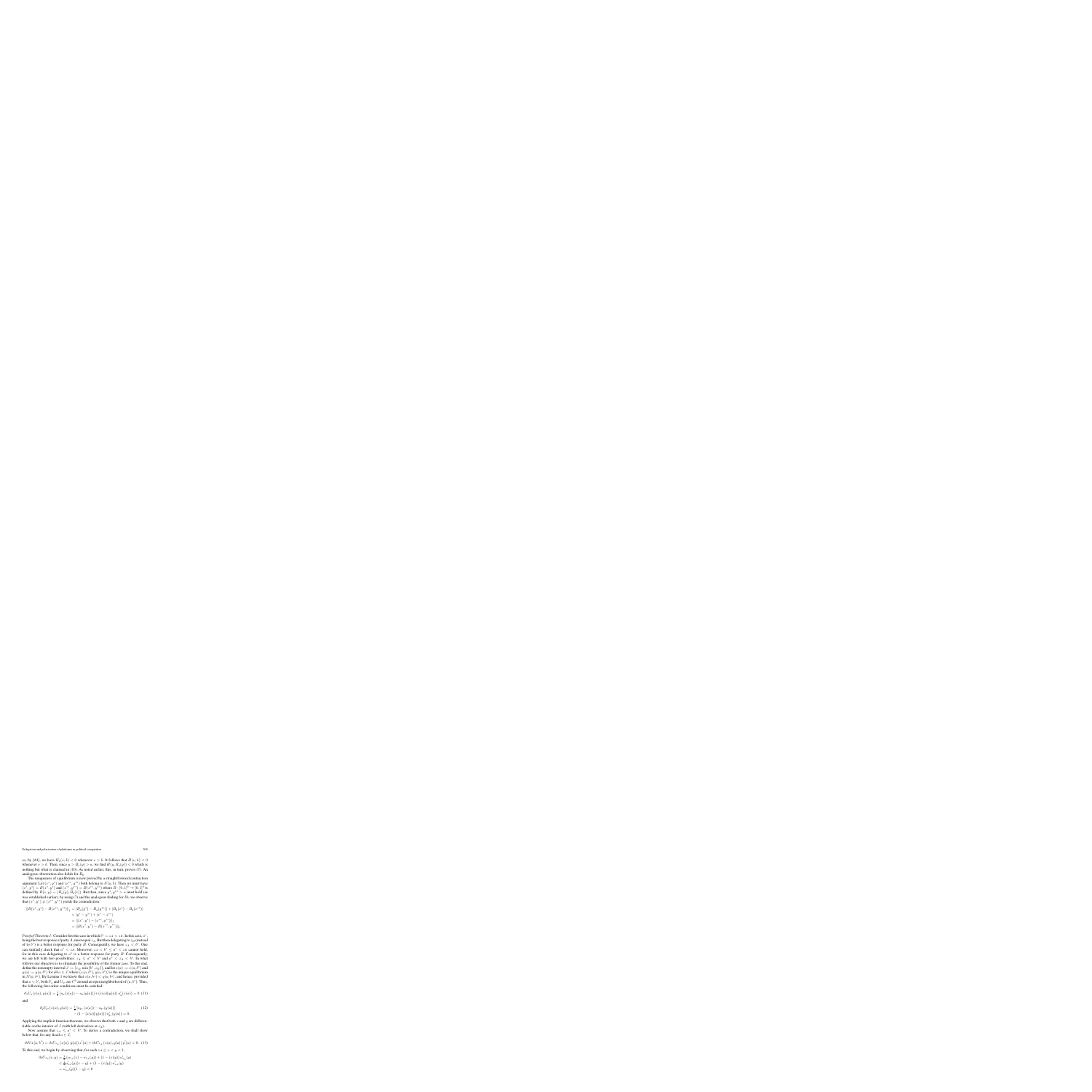so, by [A1], we have  $H_1(v, k) < 0$  whenever  $v > k$ . It follows that  $H(v, k) < 0$ whenever  $v > k$ . Then, since  $y > B_a(y) > a$ , we find  $H(y, B_a(y)) < 0$  which is nothing but what is claimed in (10). As noted earlier, this, in turn, proves (7). An analogous observation also holds for  $B<sub>b</sub>$ .

The uniqueness of equilibrium is now proved by a straightforward contraction argument. Let  $(x^*, y^*)$  and  $(x^{**}, y^{**})$  both belong to  $\mathcal{N}(a, b)$ . Then we must have  $(x^*, y^*) = B(x^*, y^*)$  and  $(x^{**}, y^{**}) = B(x^{**}, y^{**})$  where  $B : [0, 1]^2 \rightarrow [0, 1]^2$  is defined by  $B(x, y)=(B_a(y), B_b(x))$ . But then, since  $y^*, y^{**} > a$  must hold (as was established earlier), by using (7) and the analogous finding for  $B_b$ , we observe that  $(x^*, y^*) \neq (x^{**}, y^{**})$  yields the contradiction:

$$
||B(x^*, y^*) - B(x^{**}, y^{**})||_1 = |B_a(y^*) - B_a(y^{**})| + |B_b(x^*) - B_b(x^{**})|
$$
  

$$
< |y^* - y^{**}| + |x^* - x^{**}|
$$
  

$$
= ||(x^*, y^*) - (x^{**}, y^{**})||_1
$$
  

$$
= ||B(x^*, y^*) - B(x^{**}, y^{**})||_1.
$$

*Proof of Theorem 1.* Consider first the case in which  $b^* = z_A < z_B$ . In this case,  $a^*$ , being the best response of party A, must equal  $z_A$ . But then delegating to  $z_B$  (instead of to  $b^*$ ) is a better response for party B. Consequently, we have  $z_A < b^*$ . One can similarly check that  $a^* < z_B$ . Moreover,  $z_A < b^* \le a^* < z_B$  cannot hold, for in this case delegating to  $a^*$  is a better response for party B. Consequently, we are left with two possibilities:  $z_A \leq a^* < b^*$  and  $a^* < z_A < b^*$ . In what follows our objective is to eliminate the possibility of the former case. To this end, define the nonempty interval  $J := [z_A, \min\{b^*, z_B\}]$ , and let  $x(a) := x(a, b^*)$  and  $y(a) := y(a, b^*)$  for all  $a \in J$ , where  $(x(a, b^*)$ ,  $y(a, b^*)$  is the unique equilibrium in  $\mathcal{N}(a, b^*)$ . By Lemma 1 we know that  $x(a, b^*) < y(a, b^*)$ , and hence, provided that  $a < b^*$ , both  $U_a$  and  $U_{b^*}$  are  $C^2$  around an open neighborhood of  $(a, b^*)$ . Thus, the following first order conditions must be satisfied:

$$
\partial_1 U_a(x(a), y(a)) = \frac{1}{2} \left[ u_a(x(a)) - u_a(y(a)) \right] + (x(a) \| y(a)) u'_a(x(a)) = 0 \tag{11}
$$

and

$$
\partial_2 U_{b^*}(x(a), y(a)) = \frac{1}{2} \left[ u_{b^*}(x(a)) - u_{b^*}(y(a)) \right] - (1 - (x(a) \| y(a))) u'_{b^*}(y(a)) = 0.
$$
\n(12)

Applying the implicit function theorem, we observe that both x and  $\gamma$  are differentiable on the interior of J (with left derivatives at  $z_A$ ).

Now assume that  $z_A \le a^* < b^*$ . To derive a contradiction, we shall show below that, for any fixed  $a \in J$ ,

$$
\partial_1 V_A(a, b^*) = \partial_1 U_{z_A}(x(a), y(a)) x'(a) + \partial_2 U_{z_A}(x(a), y(a)) y'(a) < 0. \tag{13}
$$

To this end, we begin by observing that, for each  $z_A \leq x \leq y \leq 1$ ,

$$
\partial_2 U_{z_A}(x, y) = \frac{1}{2} (u_{z_A}(x) - u_{z_A}(y)) + (1 - (x||y)) u'_{z_A}(y)
$$
  

$$
< \frac{1}{2} u'_{z_A}(y)(x - y) + (1 - (x||y)) u'_{z_A}(y)
$$
  

$$
= u'_{z_A}(y)(1 - y) < 0
$$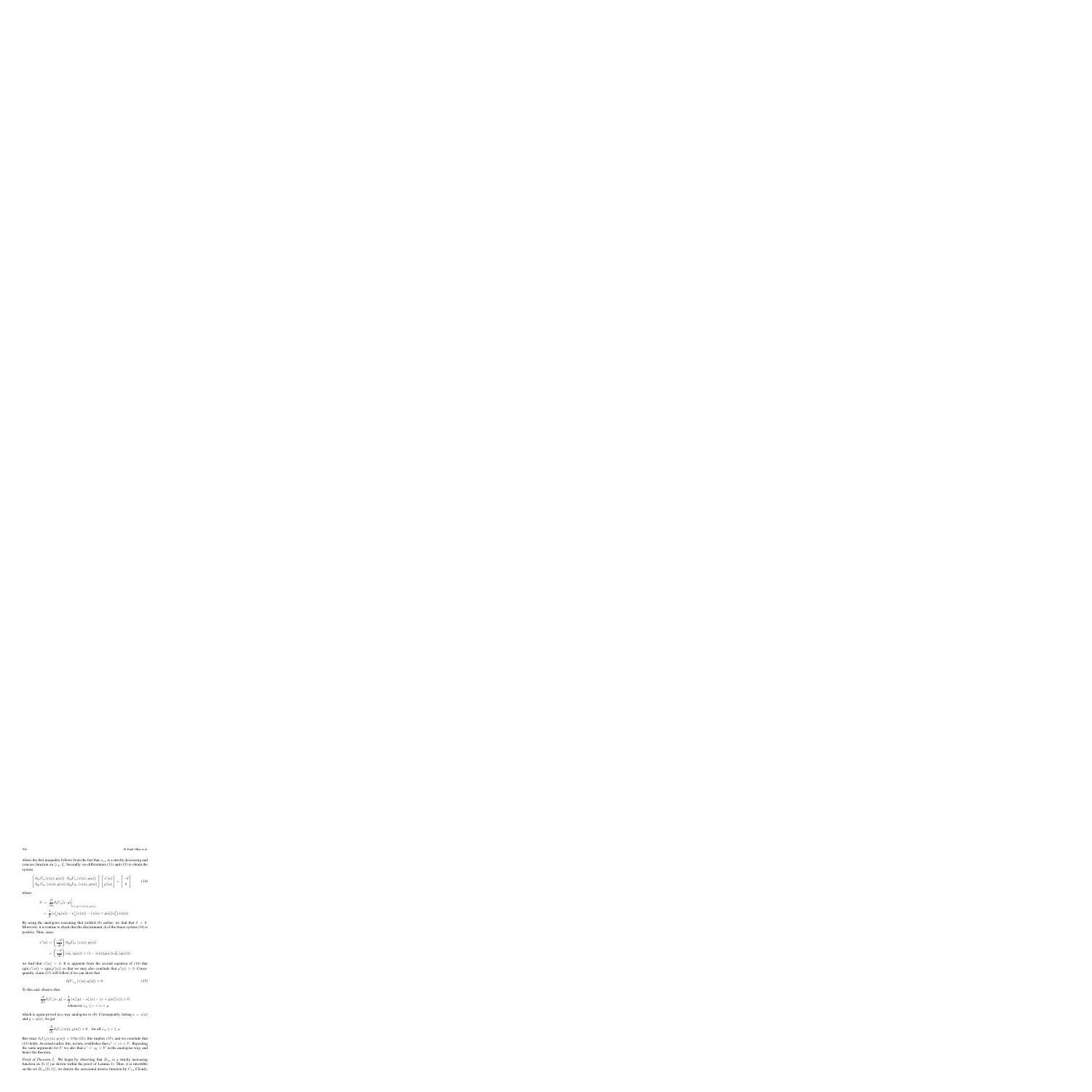where the first inequality follows from the fact that  $u_{z_A}$  is a strictly decreasing and concave function on  $[z<sub>A</sub>, 1]$ . Secondly, we differentiate (11) and (12) to obtain the system

$$
\begin{bmatrix}\n\partial_{11}U_a(x(a),y(a)) & \partial_{12}U_a(x(a),y(a)) \\
\partial_{21}U_{b^*}(x(a),y(a)) & \partial_{22}U_{b^*}(x(a),y(a))\n\end{bmatrix}\n\begin{bmatrix}\nx'(a) \\
y'(a)\n\end{bmatrix} =\n\begin{bmatrix}\n-\vartheta \\
0\n\end{bmatrix}
$$
\n(14)

where

$$
\vartheta := \frac{\partial}{\partial a} \partial_1 U_a(x, y) \Big|_{(x, y) = (x(a), y(a))}
$$
  
= 
$$
\frac{1}{2} (u'_a(y(a)) - u'_a(x(a)) - (x(a) + y(a))u''_a(x(a))).
$$

By using the analogous reasoning that yielded (8) earlier, we find that  $\vartheta > 0$ . Moreover, it is routine to check that the discriminant  $\Delta$  of the linear system (14) is positive. Thus, since

$$
x'(a) = \left(\frac{-\vartheta}{\Delta}\right) \partial_{22} U_{b^*} (x(a), y(a))
$$
  
= 
$$
\left(\frac{-\vartheta}{\Delta}\right) (u'_{b^*}(y(a)) + (1 - x(a) || y(a)) u''_{b^*}(y(a)))
$$

we find that  $x'(a) > 0$ . It is apparent from the second equation of (14) that  $sgn(x'(a)) = sgn(y'(a))$  so that we may also conclude that  $y'(a) > 0$ . Consequently, claim (13) will follow if we can show that

$$
\partial_1 U_{z_A}\left(x(a), y(a)\right) < 0. \tag{15}
$$

To this end, observe that

$$
\frac{\partial}{\partial c}\partial_1 U_c(x,y) = \frac{1}{2} \left( u_c'(y) - u_c'(x) - (x+y)u_c''(x) \right) > 0
$$
  
whenever  $z_A \le c < x < y$ 

which is again proved in a way analogous to (8). Consequently, letting  $x = x(a)$ and  $y = y(a)$ , we get

$$
\frac{\partial}{\partial c}\partial_1 U_c(x(a),y(a))>0\quad \text{for all } z_A\leq c\leq a.
$$

But since  $\partial_1 U_a(x(a), y(a)) = 0$  by (11), this implies (15), and we conclude that (13) holds. As noted earlier, this, in turn, establishes that  $a^* < z_A < b^*$ . Repeating the same arguments for  $b^*$  we also find  $a^* < z_B < b^*$  in the analogous way, and hence the theorem.

*Proof of Theorem 2.* We begin by observing that  $B_{z_B}$  is a strictly increasing function on  $[0, 1]$  (as shown within the proof of Lemma 1). Thus, it is invertible on the set  $B_{z_B}([0, 1])$ ; we denote the associated inverse function by  $C_{z_B}$ . Clearly,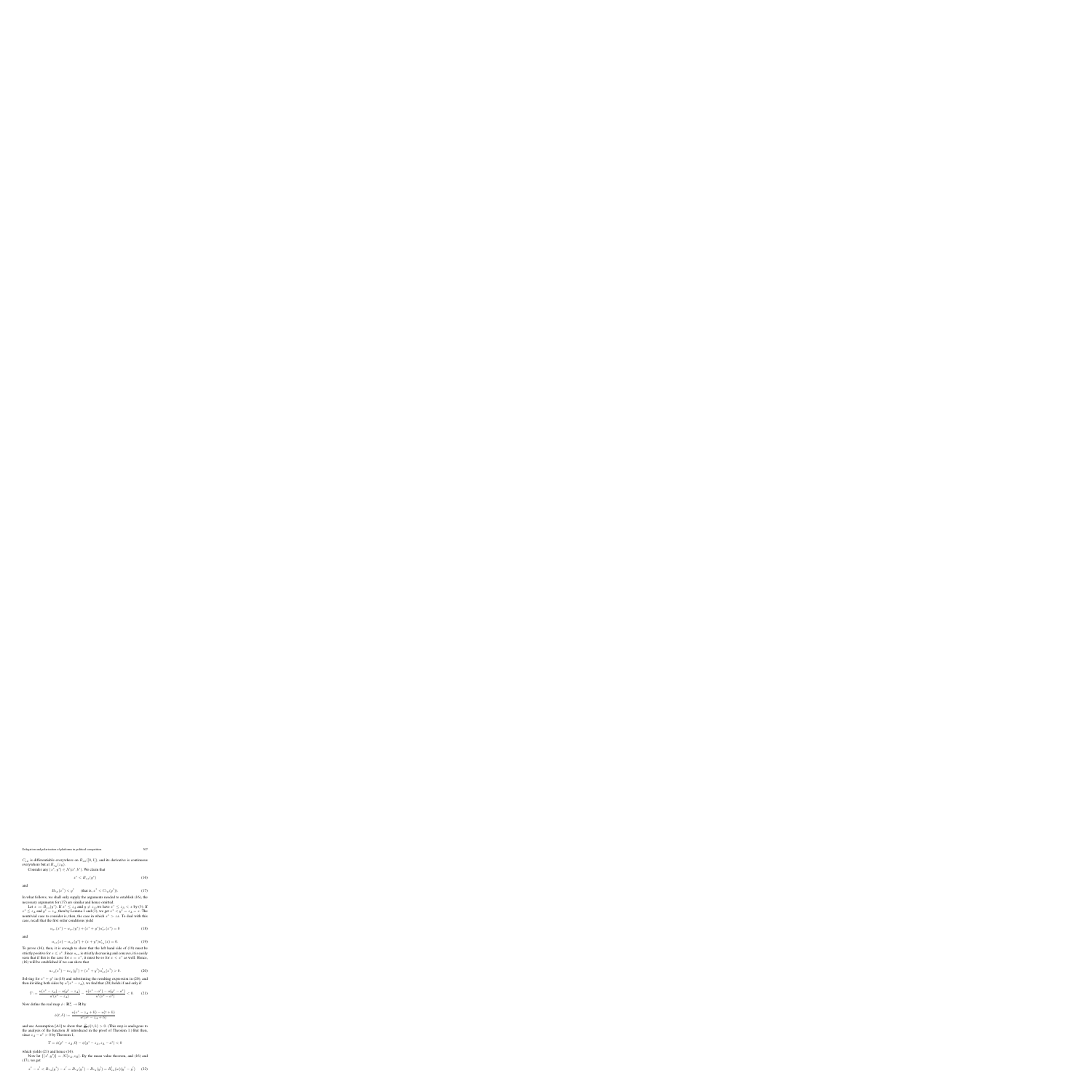$C_{z_B}$  is differentiable everywhere on  $B_{z_B} ([0, 1])$ , and its derivative is continuous everywhere but at  $B_{z_B}(z_B)$ .

Consider any  $(x^*, y^*) \in \mathcal{N}(a^*, b^*)$ . We claim that

$$
x^* < B_{z_A}(y^*) \tag{16}
$$

and

 $B_{z_D}(x^*) < y^*$  (that is,  $x^* < C_{z_D}(y^*)$ ). (17)

In what follows, we shall only supply the arguments needed to establish (16), the necessary arguments for (17) are similar and hence omitted.

Let  $x := B_{z_A}(y^*)$ . If  $x^* \le z_A$  and  $y \ne z_A$ , we have  $x^* \le z_A < x$  by (3). If  $x^* \le z_A$  and  $y^* = z_A$ , then by Lemma 1 and (3), we get  $x^* < y^* = z_A = x$ . The nontrivial case to consider is, then, the case in which  $x^* > z_A$ . To deal with this case, recall that the first order conditions yield

$$
u_{a^*}(x^*) - u_{a^*}(y^*) + (x^* + y^*)u'_{a^*}(x^*) = 0
$$
\n(18)

and

$$
u_{z_A}(x) - u_{z_A}(y^*) + (x + y^*)u'_{z_A}(x) = 0.
$$
 (19)

To prove (16), then, it is enough to show that the left hand side of (19) must be strictly positive for  $x \leq x^*$ . Since  $u_{z_A}$  is strictly decreasing and concave, it is easily seen that if this is the case for  $x = x^*$ , it must be so for  $x < x^*$  as well. Hence, (16) will be established if we can show that

$$
u_{z_A}(x^*) - u_{z_A}(y^*) + (x^* + y^*)u'_{z_A}(x^*) > 0.
$$
 (20)

Solving for  $x^* + y^*$  in (18) and substituting the resulting expression in (20), and then dividing both sides by  $u'(x^* - z_A)$ , we find that (20) holds if and only if

$$
T := \frac{u(x^* - z_A) - u(y^* - z_A)}{u'(x^* - z_A)} - \frac{u(x^* - a^*) - u(y^* - a^*)}{u'(x^* - a^*)} < 0. \tag{21}
$$

Now define the real map  $\phi : \mathbf{R}_+^2 \to \mathbf{R}$  by

$$
\phi(t,h) := \frac{u(x^* - z_A + h) - u(t+h)}{u'(x^* - z_A + h)}
$$

and use Assumption [A1] to show that  $\frac{\partial}{\partial h}\phi(t, h) > 0$ . (This step is analogous to the analysis of the function  $H$  introduced in the proof of Theorem 1.) But then, since  $z_A - a^* > 0$  by Theorem 1,

$$
T = \phi(y^* - z_A, 0) - \phi(y^* - z_A, z_A - a^*) < 0
$$

which yields  $(21)$  and hence  $(16)$ .

Now let  $\{(x', y')\} = \mathcal{N}(z_A, z_B)$ . By the mean value theorem, and (16) and (17), we get

$$
x^* - x' < B_{z_A}(y^*) - x' = B_{z_A}(y^*) - B_{z_A}(y') = B_{z_A}'(w)(y^* - y') \tag{22}
$$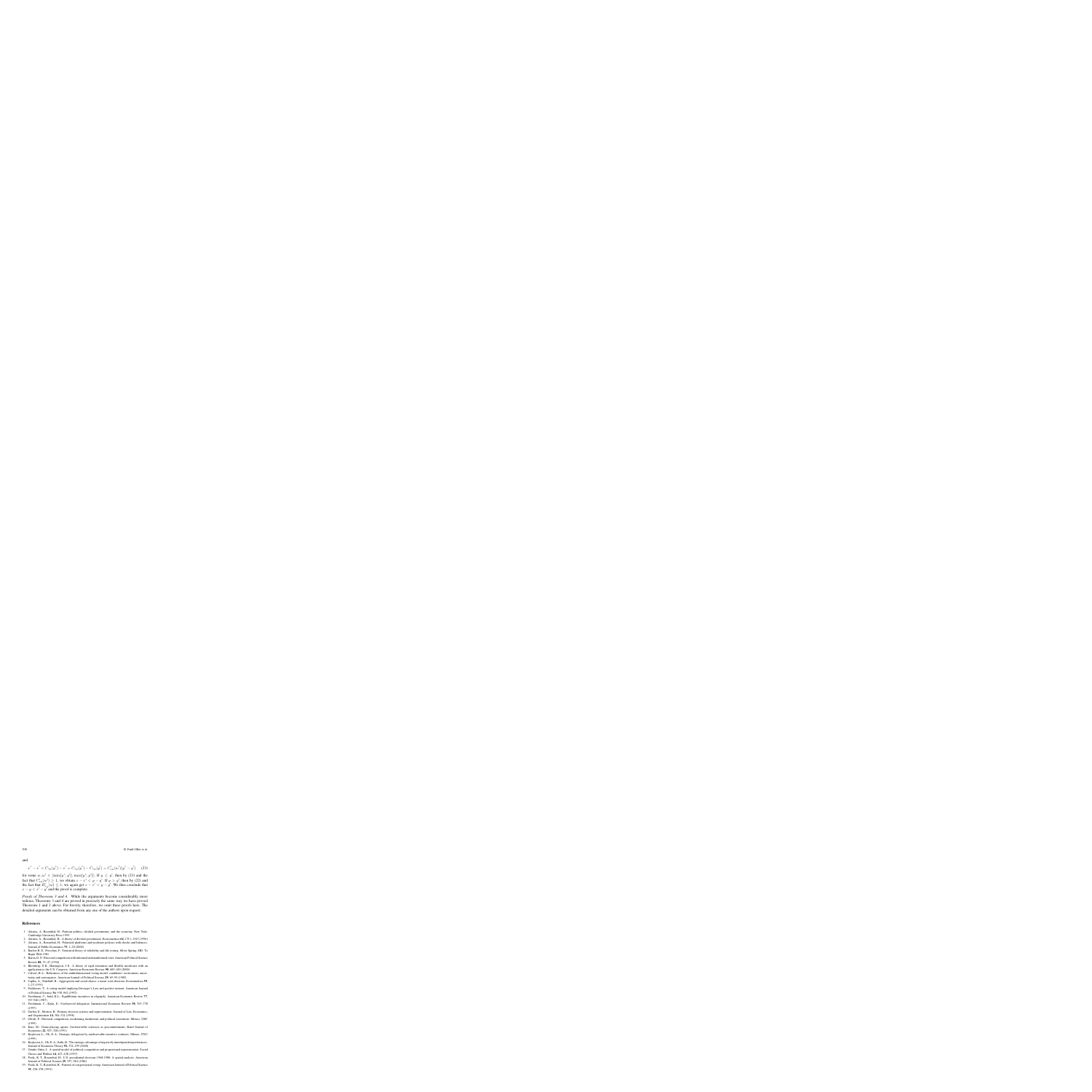and

$$
x^* - x' < C_{z_B}(y^*) - x' = C_{z_B}(y^*) - C_{z_B}(y') = C_{z_B}'(w')(y^* - y') \tag{23}
$$

for some  $w, w' \in [\min\{y^*, y'\}, \max\{y^*, y'\}]$ . If  $y \leq y'$ , then by (23) and the fact that  $C'_{z_B}(w') \geq 1$ , we obtain  $x - x' < y - y'$ . If  $y > y'$ , then by (22) and the fact that  $B'_{z_A}(w) \leq 1$ , we again get  $x - x' < y - y'$ . We thus conclude that  $x - y < x' - y'$  and the proof is complete.

*Proofs of Theorems 3 and 4.* While the arguments become considerably more tedious, Theorems 3 and 4 are proved in precisely the same way we have proved Theorems 1 and 2 above. For brevity, therefore, we omit these proofs here. The detailed arguments can be obtained from any one of the authors upon request.

#### **References**

- 1. Alesina, A. Rosenthal, H.: Partisan politics, divided government, and the economy. New York: Cambridge University Press 1995
- 2. Alesina, A., Rosenthal, H.: A theory of divided government. Econometrica **64**, 1311–1343 (1996)
- 3. Alesina, A., Rosenthal, H.: Polarized platforms and moderate policies with checks and balances. Journal of Public Economics **75**, 1–20 (2000)
- 4. Barlow R. E., Proschan, F.: Statistical theory of reliability and life testing. Silver Spring, MD: To Begin With 1981
- 5. Baron, D. P.: Electoral competition with informed and uninformed voter. American Political Science Review **88**, 33–47 (1994)
- 6. Blomberg, S. B., Harrington, J. E.: A theory of rigid extremists and flexible moderates with an application to the U.S. Congress. American Economic Review **90**, 605–620 (2000)
- 7. Calvert, R. L.: Robustness of the multidimensional voting model: candidates' motivations, uncertainty and convergence. American Journal of Political Science **29**, 69–95 (1985)
- 8. Caplin, A., Nalebuff, B.: Aggregation and social choice: a mean voter theorem. Econometrica **59**, 1–23 (1991)
- 9. Feddersen, T.: A voting model implying Duverger's Law and positive turnout. American Journal of Political Science **36**, 938–962 (1992)
- 10. Fershtman, C., Judd, K.L.: Equilibrium incentives in oligopoly. American Economic Review **77**, 927-940 (1987)
- 11. Fershtman, C., Kalai, E.: Unobserved delegation. International Economic Review **38**, 763–778 (1997)
- 12. Gerber, E., Morton, R.: Primary election systems and representation. Journal of Law, Economics, and Organization **14**, 304–324 (1998)
- 13. Ghosh, P.: Electoral competition, moderating institutions and political extremism. Mimeo, UBC (1999)
- 14. Katz, M.: Game-playing agents: Unobservable contracts as precommitments. Rand Journal of Economics **22**, 307–328 (1991)
- 15. Kockesen, L., Ok, E. A.: Strategic delegation by unobservable incentive contracts. Mimeo, NYU (1999)
- 16. Kockesen, L., Ok, E. A., Sethi, R.: The strategic advantage of negatively interdependent preferences. Journal of Economic Theory **92**, 274–299 (2000)
- 17. Ortuño-Ortin, I.: A spatial model of political competition and proportional representation. Social Choice and Welfare **14**, 427–438 (1997)
- 18. Poole, K. T., Rosenthal, H.: U.S. presidential elections 1968-1980: A spatial analysis. American Journal of Political Science **29**, 357–384 (1984)
- 19. Poole, K. T., Rosenthal, H.: Patterns of congressional voting. American Journal of Political Science **35**, 228–278 (1991)